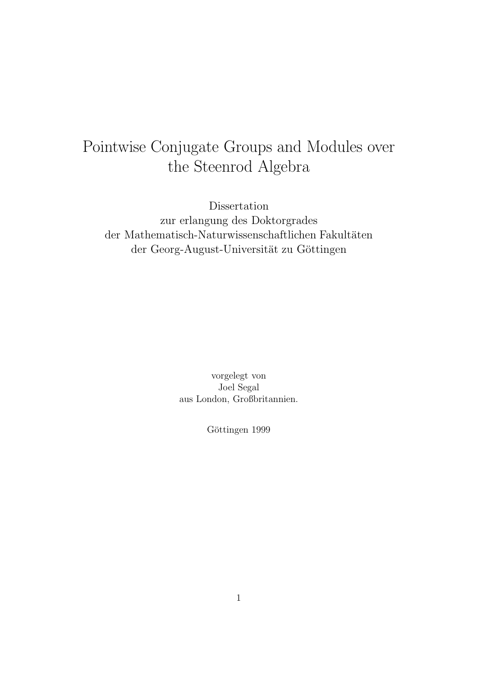# Pointwise Conjugate Groups and Modules over the Steenrod Algebra

Dissertation zur erlangung des Doktorgrades der Mathematisch-Naturwissenschaftlichen Fakultäten der Georg-August-Universität zu Göttingen

> vorgelegt von Joel Segal aus London, Großbritannien.

> > Göttingen 1999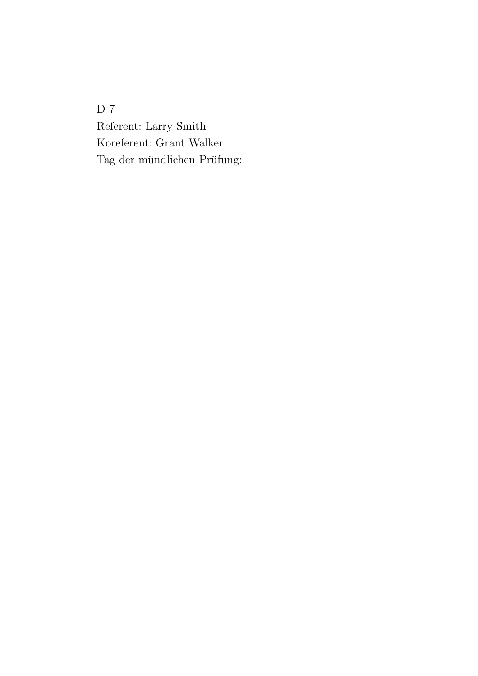D  $7$ Referent: Larry Smith Koreferent: Grant Walker Tag der mündlichen Prüfung: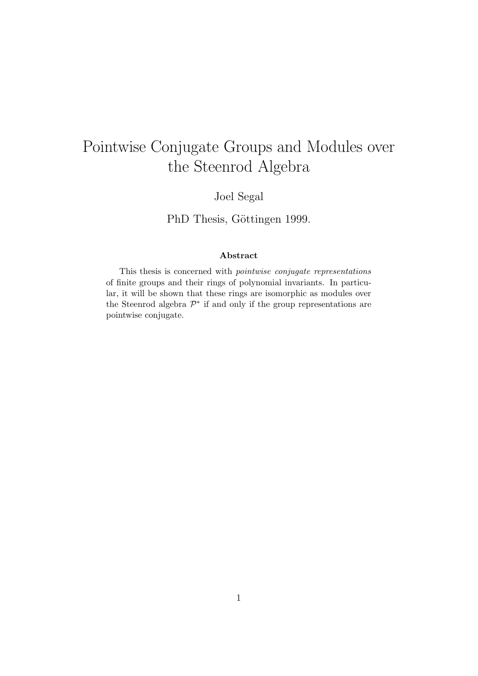# Pointwise Conjugate Groups and Modules over the Steenrod Algebra

Joel Segal

PhD Thesis, Göttingen 1999.

#### **Abstract**

This thesis is concerned with *pointwise conjugate representations* of finite groups and their rings of polynomial invariants. In particular, it will be shown that these rings are isomorphic as modules over the Steenrod algebra  $\mathcal{P}^*$  if and only if the group representations are pointwise conjugate.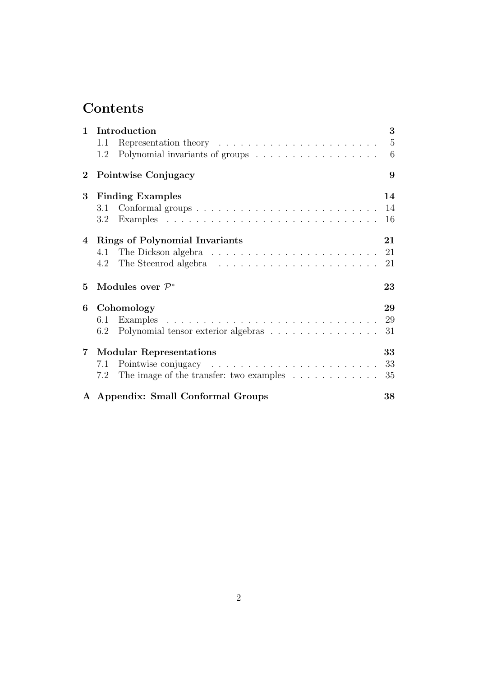## **Contents**

| $\mathbf{1}$ | Introduction                                                                                       | 3              |
|--------------|----------------------------------------------------------------------------------------------------|----------------|
|              | 1.1                                                                                                | $\overline{5}$ |
|              | 1.2                                                                                                | 6              |
| $\bf{2}$     | Pointwise Conjugacy                                                                                | 9              |
| $\bf{3}$     | <b>Finding Examples</b>                                                                            | 14             |
|              | Conformal groups $\ldots \ldots \ldots \ldots \ldots \ldots \ldots \ldots \ldots \ldots 14$<br>3.1 |                |
|              | $3.2^{\circ}$                                                                                      | 16             |
|              | 4 Rings of Polynomial Invariants                                                                   | 21             |
|              |                                                                                                    |                |
|              |                                                                                                    | 21             |
| 5            | Modules over $\mathcal{P}^*$                                                                       | 23             |
| 6            | Cohomology                                                                                         | 29             |
|              | 6.1                                                                                                | 29             |
|              | Polynomial tensor exterior algebras<br>6.2                                                         | 31             |
| $7\degree$   | <b>Modular Representations</b>                                                                     | 33             |
|              | 7.1                                                                                                | 33             |
|              | The image of the transfer: two examples<br>7.2                                                     | 35             |
|              | A Appendix: Small Conformal Groups                                                                 | 38             |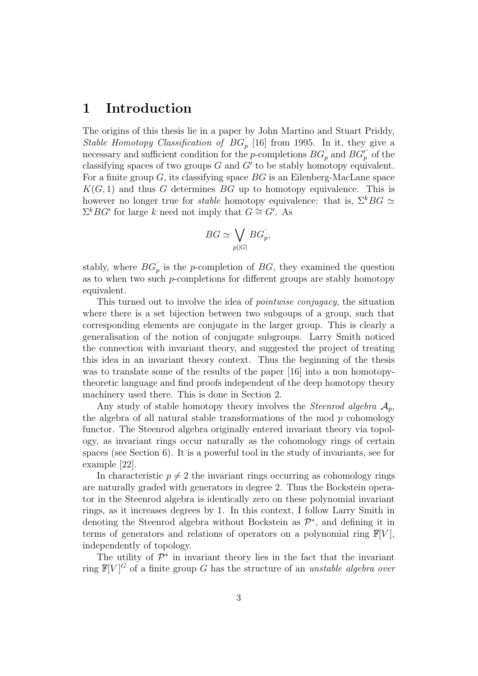### **1 Introduction**

The origins of this thesis lie in a paper by John Martino and Stuart Priddy, Stable Homotopy Classification of  $BG_p$ <sup> $\hat{ }}$ </sup>[16] from 1995. In it, they give a necessary and sufficient condition for the *p*-completions  $BG_p^{\hat{}}$  and  $BG_p^{\hat{}}$  of the classifying spaces of two groups  $G$  and  $G'$  to be stably homotopy equivalent. For a finite group G, its classifying space BG is an Eilenberg-MacLane space  $K(G, 1)$  and thus G determines BG up to homotopy equivalence. This is however no longer true for *stable* homotopy equivalence: that is,  $\Sigma^k BG \simeq$  $\Sigma^k BG'$  for large k need not imply that  $G \cong G'$ . As

$$
BG \simeq \bigvee_{p||G|} BG_p^{\hat{}}\,,
$$

stably, where  $BG_p^{\hat{}}$  is the p-completion of  $BG$ , they examined the question as to when two such  $p$ -completions for different groups are stably homotopy equivalent.

This turned out to involve the idea of pointwise conjugacy, the situation where there is a set bijection between two subgoups of a group, such that corresponding elements are conjugate in the larger group. This is clearly a generalisation of the notion of conjugate subgroups. Larry Smith noticed the connection with invariant theory, and suggested the project of treating this idea in an invariant theory context. Thus the beginning of the thesis was to translate some of the results of the paper [16] into a non homotopytheoretic language and find proofs independent of the deep homotopy theory machinery used there. This is done in Section 2.

Any study of stable homotopy theory involves the *Steenrod algebra*  $\mathcal{A}_p$ , the algebra of all natural stable transformations of the mod  $p$  cohomology functor. The Steenrod algebra originally entered invariant theory via topology, as invariant rings occur naturally as the cohomology rings of certain spaces (see Section 6). It is a powerful tool in the study of invariants, see for example [22].

In characteristic  $p \neq 2$  the invariant rings occurring as cohomology rings are naturally graded with generators in degree 2. Thus the Bockstein operator in the Steenrod algebra is identically zero on these polynomial invariant rings, as it increases degrees by 1. In this context, I follow Larry Smith in denoting the Steenrod algebra without Bockstein as  $\mathcal{P}^*$ , and defining it in terms of generators and relations of operators on a polynomial ring  $\mathbb{F}[V]$ , independently of topology.

The utility of  $\mathcal{P}^*$  in invariant theory lies in the fact that the invariant ring  $\mathbb{F}[V]^G$  of a finite group G has the structure of an *unstable algebra over*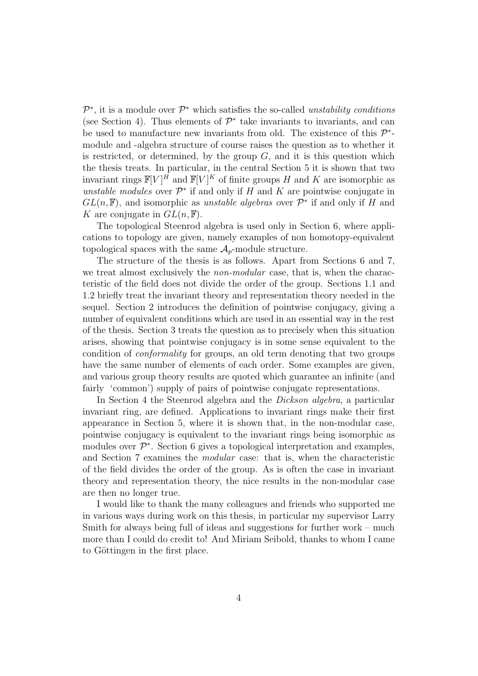$\mathcal{P}^*$ , it is a module over  $\mathcal{P}^*$  which satisfies the so-called unstability conditions (see Section 4). Thus elements of  $\mathcal{P}^*$  take invariants to invariants, and can be used to manufacture new invariants from old. The existence of this  $\mathcal{P}^*$ module and -algebra structure of course raises the question as to whether it is restricted, or determined, by the group  $G$ , and it is this question which the thesis treats. In particular, in the central Section 5 it is shown that two invariant rings  $\mathbb{F}[V]^H$  and  $\mathbb{F}[V]^K$  of finite groups H and K are isomorphic as unstable modules over  $\mathcal{P}^*$  if and only if H and K are pointwise conjugate in  $GL(n, \mathbb{F})$ , and isomorphic as unstable algebras over  $\mathcal{P}^*$  if and only if H and K are conjugate in  $GL(n, \mathbb{F})$ .

The topological Steenrod algebra is used only in Section 6, where applications to topology are given, namely examples of non homotopy-equivalent topological spaces with the same  $A_p$ -module structure.

The structure of the thesis is as follows. Apart from Sections 6 and 7, we treat almost exclusively the *non-modular* case, that is, when the characteristic of the field does not divide the order of the group. Sections 1.1 and 1.2 briefly treat the invariant theory and representation theory needed in the sequel. Section 2 introduces the definition of pointwise conjugacy, giving a number of equivalent conditions which are used in an essential way in the rest of the thesis. Section 3 treats the question as to precisely when this situation arises, showing that pointwise conjugacy is in some sense equivalent to the condition of conformality for groups, an old term denoting that two groups have the same number of elements of each order. Some examples are given, and various group theory results are quoted which guarantee an infinite (and fairly 'common') supply of pairs of pointwise conjugate representations.

In Section 4 the Steenrod algebra and the *Dickson algebra*, a particular invariant ring, are defined. Applications to invariant rings make their first appearance in Section 5, where it is shown that, in the non-modular case, pointwise conjugacy is equivalent to the invariant rings being isomorphic as modules over  $\mathcal{P}^*$ . Section 6 gives a topological interpretation and examples, and Section 7 examines the modular case: that is, when the characteristic of the field divides the order of the group. As is often the case in invariant theory and representation theory, the nice results in the non-modular case are then no longer true.

I would like to thank the many colleagues and friends who supported me in various ways during work on this thesis, in particular my supervisor Larry Smith for always being full of ideas and suggestions for further work – much more than I could do credit to! And Miriam Seibold, thanks to whom I came to Göttingen in the first place.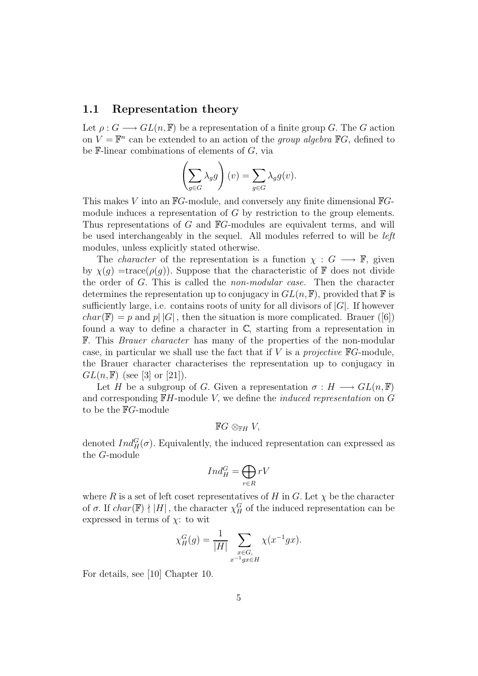#### **1.1 Representation theory**

Let  $\rho: G \longrightarrow GL(n, \mathbb{F})$  be a representation of a finite group G. The G action on  $V = \mathbb{F}^n$  can be extended to an action of the group algebra  $\mathbb{F}G$ , defined to be  $\mathbb F$ -linear combinations of elements of  $G$ , via

$$
\left(\sum_{g \in G} \lambda_g g\right)(v) = \sum_{g \in G} \lambda_g g(v).
$$

This makes V into an  $\mathbb{F}G$ -module, and conversely any finite dimensional  $\mathbb{F}G$ module induces a representation of G by restriction to the group elements. Thus representations of G and <sup>F</sup>G-modules are equivalent terms, and will be used interchangeably in the sequel. All modules referred to will be left modules, unless explicitly stated otherwise.

The *character* of the representation is a function  $\chi : G \longrightarrow \mathbb{F}$ , given by  $\chi(q)$  =trace( $\rho(q)$ ). Suppose that the characteristic of F does not divide the order of G. This is called the non-modular case. Then the character determines the representation up to conjugacy in  $GL(n, \mathbb{F})$ , provided that  $\mathbb{F}$  is sufficiently large, i.e. contains roots of unity for all divisors of  $|G|$ . If however  $char(\mathbb{F}) = p$  and  $p||G|$ , then the situation is more complicated. Brauer ([6]) found a way to define a character in  $\mathbb{C}$ , starting from a representation in <sup>F</sup>. This Brauer character has many of the properties of the non-modular case, in particular we shall use the fact that if  $V$  is a *projective*  $\mathbb{F}G$ -module, the Brauer character characterises the representation up to conjugacy in  $GL(n, \mathbb{F})$  (see [3] or [21]).

Let H be a subgroup of G. Given a representation  $\sigma : H \longrightarrow GL(n, \mathbb{F})$ and corresponding  $\mathbb{F}H$ -module V, we define the *induced representation* on G to be the <sup>F</sup>G-module

 $\mathbb{F}G \otimes_{\mathbb{F}H} V$ ,

denoted  $Ind_H^G(\sigma)$ . Equivalently, the induced representation can expressed as the G-module

$$
Ind_H^G=\bigoplus_{r\in R}rV
$$

where R is a set of left coset representatives of H in G. Let  $\chi$  be the character of  $\sigma$ . If  $char(\mathbb{F}) \nmid |H|$ , the character  $\chi_H^G$  of the induced representation can be expressed in terms of  $\chi$ : to wit

$$
\chi_H^G(g) = \frac{1}{|H|} \sum_{\substack{x \in G, \\ x^{-1}gx \in H}} \chi(x^{-1}gx).
$$

For details, see [10] Chapter 10.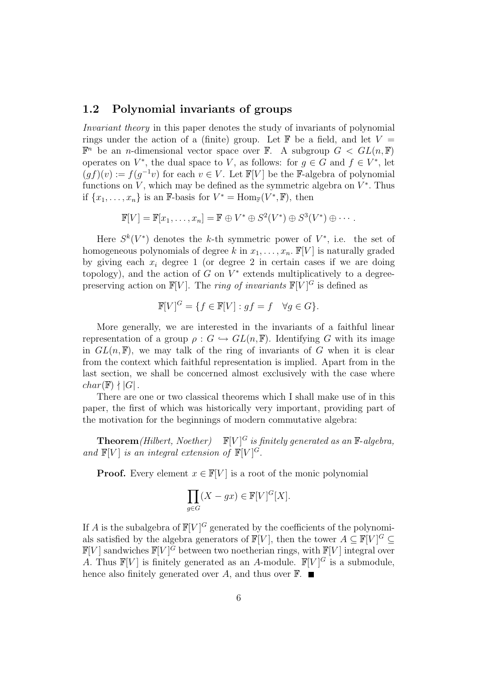#### **1.2 Polynomial invariants of groups**

Invariant theory in this paper denotes the study of invariants of polynomial rings under the action of a (finite) group. Let  $\mathbb F$  be a field, and let  $V =$  $\mathbb{F}^n$  be an *n*-dimensional vector space over  $\mathbb{F}$ . A subgroup  $G \le GL(n, \mathbb{F})$ operates on  $V^*$ , the dual space to V, as follows: for  $q \in G$  and  $f \in V^*$ , let  $(qf)(v) := f(q^{-1}v)$  for each  $v \in V$ . Let  $\mathbb{F}[V]$  be the F-algebra of polynomial functions on V, which may be defined as the symmetric algebra on  $V^*$ . Thus if  $\{x_1,\ldots,x_n\}$  is an F-basis for  $V^* = \text{Hom}_{\mathbb{F}}(V^*,\mathbb{F})$ , then

 $\mathbb{F}[V] = \mathbb{F}[x_1, \ldots, x_n] = \mathbb{F} \oplus V^* \oplus S^2(V^*) \oplus S^3(V^*) \oplus \cdots$ 

Here  $S^k(V^*)$  denotes the k-th symmetric power of  $V^*$ , i.e. the set of homogeneous polynomials of degree k in  $x_1, \ldots, x_n$ .  $\mathbb{F}[V]$  is naturally graded by giving each  $x_i$  degree 1 (or degree 2 in certain cases if we are doing topology), and the action of G on  $V^*$  extends multiplicatively to a degreepreserving action on  $\mathbb{F}[V]$ . The *ring of invariants*  $\mathbb{F}[V]^G$  is defined as

$$
\mathbb{F}[V]^G = \{ f \in \mathbb{F}[V] : gf = f \quad \forall g \in G \}.
$$

More generally, we are interested in the invariants of a faithful linear representation of a group  $\rho: G \hookrightarrow GL(n, \mathbb{F})$ . Identifying G with its image in  $GL(n, \mathbb{F})$ , we may talk of the ring of invariants of G when it is clear from the context which faithful representation is implied. Apart from in the last section, we shall be concerned almost exclusively with the case where  $char(\mathbb{F}) \nmid |G|$ .

There are one or two classical theorems which I shall make use of in this paper, the first of which was historically very important, providing part of the motivation for the beginnings of modern commutative algebra:

**Theorem** (Hilbert, Noether)  $\mathbb{F}[V]^G$  is finitely generated as an  $\mathbb{F}\text{-}algebra$ , and  $\mathbb{F}[V]$  is an integral extension of  $\mathbb{F}[V]^G$ .

**Proof.** Every element  $x \in \mathbb{F}[V]$  is a root of the monic polynomial

$$
\prod_{g \in G} (X - gx) \in \mathbb{F}[V]^G [X].
$$

If A is the subalgebra of  $\mathbb{F}[V]^G$  generated by the coefficients of the polynomials satisfied by the algebra generators of  $\mathbb{F}[V]$ , then the tower  $A \subseteq \mathbb{F}[V]^G \subseteq$  $\mathbb{F}[V]$  sandwiches  $\mathbb{F}[V]^G$  between two noetherian rings, with  $\mathbb{F}[V]$  integral over A. Thus  $\mathbb{F}[V]$  is finitely generated as an A-module.  $\mathbb{F}[V]^G$  is a submodule, hence also finitely generated over A, and thus over  $\mathbb{F}$ .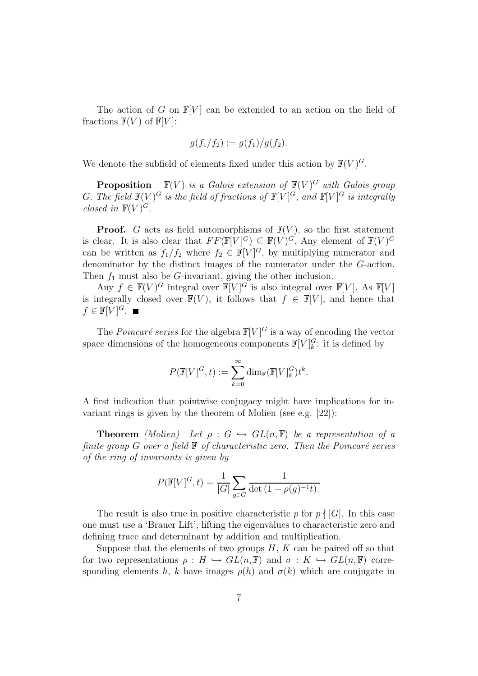The action of G on  $\mathbb{F}[V]$  can be extended to an action on the field of fractions  $\mathbb{F}(V)$  of  $\mathbb{F}[V]$ :

$$
g(f_1/f_2) := g(f_1)/g(f_2).
$$

We denote the subfield of elements fixed under this action by  $\mathbb{F}(V)^G$ .

**Proposition**  $\mathbb{F}(V)$  is a Galois extension of  $\mathbb{F}(V)^G$  with Galois group G. The field  $\mathbb{F}(V)^G$  is the field of fractions of  $\mathbb{F}[V]^G$ , and  $\mathbb{F}[V]^G$  is integrally closed in  $\mathbb{F}(V)^G$ .

**Proof.** G acts as field automorphisms of  $\mathbb{F}(V)$ , so the first statement is clear. It is also clear that  $FF(\mathbb{F}[V]^G) \subseteq \mathbb{F}(V)^G$ . Any element of  $\mathbb{F}(V)^G$ can be written as  $f_1/f_2$  where  $f_2 \in \mathbb{F}[V]^G$ , by multiplying numerator and denominator by the distinct images of the numerator under the G-action. Then  $f_1$  must also be G-invariant, giving the other inclusion.

Any  $f \in \mathbb{F}(V)^G$  integral over  $\mathbb{F}[V]^G$  is also integral over  $\mathbb{F}[V]$ . As  $\mathbb{F}[V]$ is integrally closed over  $\mathbb{F}(V)$ , it follows that  $f \in \mathbb{F}[V]$ , and hence that  $f \in \mathbb{F}[V]^G$ .

The *Poincaré series* for the algebra  $\mathbb{F}[V]^G$  is a way of encoding the vector space dimensions of the homogeneous components  $\mathbb{F}[V]_k^G$ : it is defined by

$$
P(\mathbb{F}[V]^G, t) := \sum_{k=0}^{\infty} \dim_{\mathbb{F}} (\mathbb{F}[V]^G_k) t^k.
$$

A first indication that pointwise conjugacy might have implications for invariant rings is given by the theorem of Molien (see e.g. [22]):

**Theorem** (Molien) Let  $\rho : G \hookrightarrow GL(n, \mathbb{F})$  be a representation of a finite group  $G$  over a field  $F$  of characteristic zero. Then the Poincaré series of the ring of invariants is given by

$$
P(\mathbb{F}[V]^G, t) = \frac{1}{|G|} \sum_{g \in G} \frac{1}{\det(1 - \rho(g)^{-1}t)}.
$$

The result is also true in positive characteristic p for  $p \nmid |G|$ . In this case one must use a 'Brauer Lift', lifting the eigenvalues to characteristic zero and defining trace and determinant by addition and multiplication.

Suppose that the elements of two groups  $H, K$  can be paired off so that for two representations  $\rho: H \hookrightarrow GL(n, \mathbb{F})$  and  $\sigma: K \hookrightarrow GL(n, \mathbb{F})$  corresponding elements h, k have images  $\rho(h)$  and  $\sigma(k)$  which are conjugate in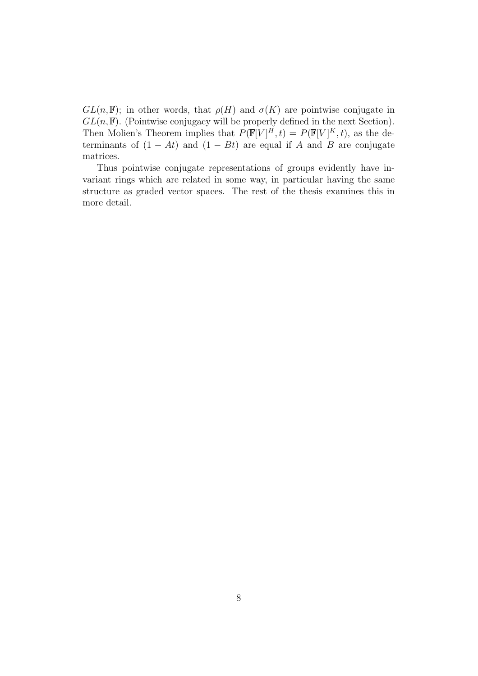$GL(n, \mathbb{F})$ ; in other words, that  $\rho(H)$  and  $\sigma(K)$  are pointwise conjugate in  $GL(n, \mathbb{F})$ . (Pointwise conjugacy will be properly defined in the next Section). Then Molien's Theorem implies that  $P(\mathbb{F}[V]^H, t) = P(\mathbb{F}[V]^K, t)$ , as the determinants of  $(1 - At)$  and  $(1 - Bt)$  are equal if A and B are conjugate matrices.

Thus pointwise conjugate representations of groups evidently have invariant rings which are related in some way, in particular having the same structure as graded vector spaces. The rest of the thesis examines this in more detail.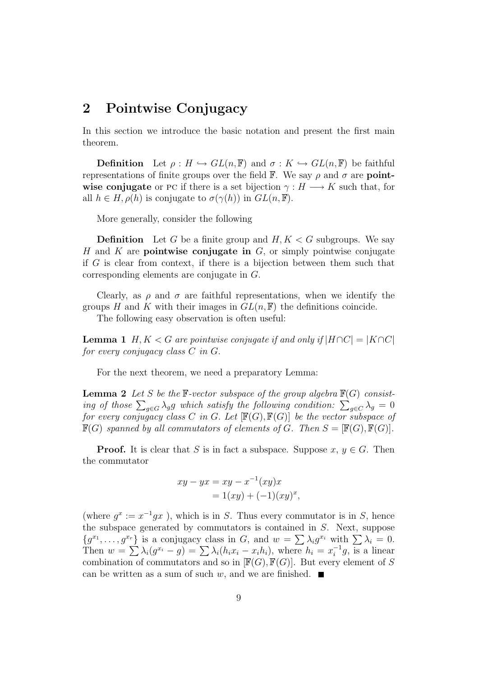### **2 Pointwise Conjugacy**

In this section we introduce the basic notation and present the first main theorem.

**Definition** Let  $\rho: H \hookrightarrow GL(n, \mathbb{F})$  and  $\sigma: K \hookrightarrow GL(n, \mathbb{F})$  be faithful representations of finite groups over the field <sup>F</sup>. We say ρ and σ are **pointwise conjugate** or PC if there is a set bijection  $\gamma : H \longrightarrow K$  such that, for all  $h \in H, \rho(h)$  is conjugate to  $\sigma(\gamma(h))$  in  $GL(n, \mathbb{F})$ .

More generally, consider the following

**Definition** Let G be a finite group and  $H, K < G$  subgroups. We say H and K are **pointwise conjugate in** G, or simply pointwise conjugate if G is clear from context, if there is a bijection between them such that corresponding elements are conjugate in G.

Clearly, as  $\rho$  and  $\sigma$  are faithful representations, when we identify the groups H and K with their images in  $GL(n, \mathbb{F})$  the definitions coincide.

The following easy observation is often useful:

**Lemma 1** H, K < G are pointwise conjugate if and only if  $|H \cap C| = |K \cap C|$ for every conjugacy class C in G.

For the next theorem, we need a preparatory Lemma:

**Lemma 2** Let S be the  $\mathbb{F}\text{-vector subspace of the group algebra } \mathbb{F}(G)$  consisting of those  $\sum_{g \in G} \lambda_g g$  which satisfy the following condition:  $\sum_{g \in C} \lambda_g = 0$ for every conjugacy class C in G. Let  $[\mathbb{F}(G), \mathbb{F}(G)]$  be the vector subspace of  $\mathbb{F}(G)$  spanned by all commutators of elements of G. Then  $S = [\mathbb{F}(G), \mathbb{F}(G)].$ 

**Proof.** It is clear that S is in fact a subspace. Suppose  $x, y \in G$ . Then the commutator

$$
xy - yx = xy - x^{-1}(xy)x
$$
  
= 1(xy) + (-1)(xy)<sup>x</sup>,

(where  $q^x := x^{-1}qx$ ), which is in S. Thus every commutator is in S, hence the subspace generated by commutators is contained in S. Next, suppose  ${g^{x_1}, \ldots, g^{x_r}}$  is a conjugacy class in G, and  $w = \sum \lambda_i g^{x_i}$  with  $\sum \lambda_i = 0$ . Then  $w = \sum \lambda_i (g^{x_i} - g) = \sum \lambda_i (h_i x_i - x_i h_i)$ , where  $h_i = x_i^{-1} g$ , is a linear combination of commutators and so in  $[F(G), F(G)]$ . But every element of S can be written as a sum of such w, and we are finished.  $\blacksquare$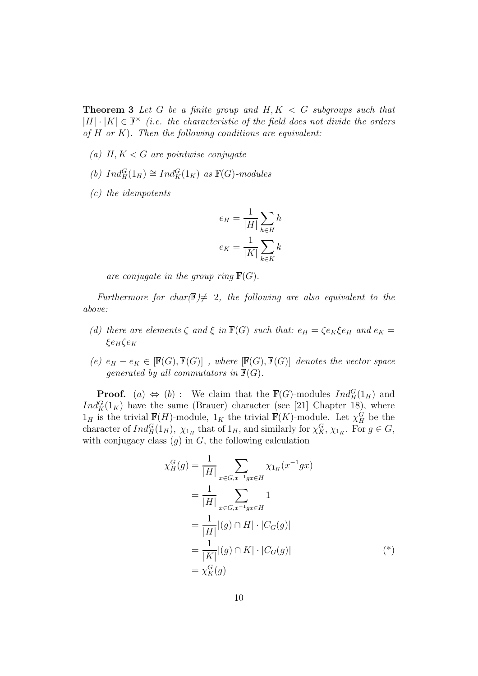**Theorem 3** Let G be a finite group and  $H, K < G$  subgroups such that  $|H|\cdot|K| \in \mathbb{F}^\times$  (i.e. the characteristic of the field does not divide the orders of  $H$  or  $K$ ). Then the following conditions are equivalent:

- (a)  $H, K < G$  are pointwise conjugate
- (b)  $Ind_H^G(1_H) \cong Ind_K^G(1_K)$  as  $\mathbb{F}(G)$ -modules
- (c) the idempotents

$$
e_H = \frac{1}{|H|} \sum_{h \in H} h
$$

$$
e_K = \frac{1}{|K|} \sum_{k \in K} k
$$

are conjugate in the group ring  $\mathbb{F}(G)$ .

Furthermore for char( $\mathbb{F}$ )  $\neq$  2, the following are also equivalent to the above:

- (d) there are elements  $\zeta$  and  $\xi$  in  $\mathbb{F}(G)$  such that:  $e_H = \zeta e_K \xi e_H$  and  $e_K =$  $ξe_Hζe_K$
- (e)  $e_H e_K \in [\mathbb{F}(G), \mathbb{F}(G)]$ , where  $[\mathbb{F}(G), \mathbb{F}(G)]$  denotes the vector space generated by all commutators in  $\mathbb{F}(G)$ .

**Proof.** (a)  $\Leftrightarrow$  (b) : We claim that the  $\mathbb{F}(G)$ -modules  $Ind_H^G(1_H)$  and  $Ind_K^G(1_K)$  have the same (Brauer) character (see [21] Chapter 18), where  $1_H$  is the trivial  $\mathbb{F}(H)$ -module,  $1_K$  the trivial  $\mathbb{F}(K)$ -module. Let  $\chi_H^G$  be the character of  $Ind_H^G(1_H)$ ,  $\chi_{1_H}$  that of  $1_H$ , and similarly for  $\chi_K^G$ ,  $\chi_{1_K}$ . For  $g \in G$ , with conjugacy class  $(g)$  in  $G$ , the following calculation

$$
\chi_H^G(g) = \frac{1}{|H|} \sum_{x \in G, x^{-1}gx \in H} \chi_{1_H}(x^{-1}gx)
$$
  
= 
$$
\frac{1}{|H|} \sum_{x \in G, x^{-1}gx \in H} 1
$$
  
= 
$$
\frac{1}{|H|} |(g) \cap H| \cdot |C_G(g)|
$$
  
= 
$$
\frac{1}{|K|} |(g) \cap K| \cdot |C_G(g)|
$$
(\*)  
= 
$$
\chi_K^G(g)
$$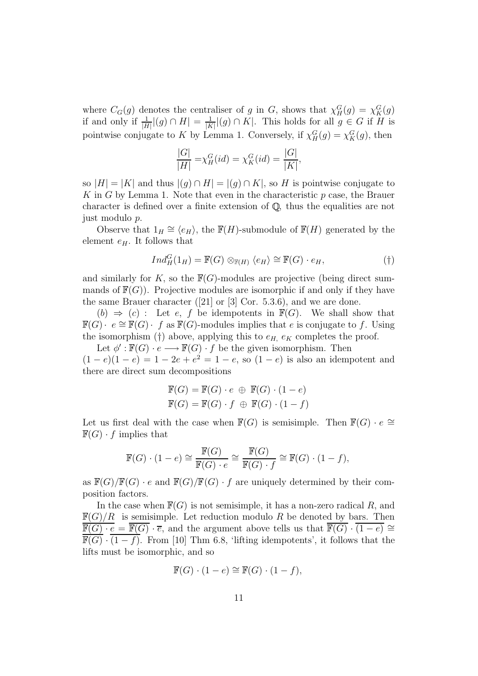where  $C_G(g)$  denotes the centraliser of g in G, shows that  $\chi_H^G(g) = \chi_K^G(g)$ if and only if  $\frac{1}{|H|} |(g) \cap H| = \frac{1}{|K|} |(g) \cap K|$ . This holds for all  $g \in G$  if H is pointwise conjugate to K by Lemma 1. Conversely, if  $\chi_H^G(g) = \chi_K^G(g)$ , then

$$
\frac{|G|}{|H|} = \chi_H^G(id) = \chi_K^G(id) = \frac{|G|}{|K|},
$$

so  $|H| = |K|$  and thus  $|(g) \cap H| = |(g) \cap K|$ , so H is pointwise conjugate to K in G by Lemma 1. Note that even in the characteristic  $p$  case, the Brauer character is defined over a finite extension of  $\mathbb{Q}$ , thus the equalities are not just modulo p.

Observe that  $1_H \cong \langle e_H \rangle$ , the  $\mathbb{F}(H)$ -submodule of  $\mathbb{F}(H)$  generated by the element  $e_H$ . It follows that

$$
Ind_H^G(1_H) = \mathbb{F}(G) \otimes_{\mathbb{F}(H)} \langle e_H \rangle \cong \mathbb{F}(G) \cdot e_H,
$$
 (†)

and similarly for K, so the  $\mathbb{F}(G)$ -modules are projective (being direct summands of  $\mathbb{F}(G)$ . Projective modules are isomorphic if and only if they have the same Brauer character ([21] or [3] Cor. 5.3.6), and we are done.

 $(b) \Rightarrow (c)$ : Let e, f be idempotents in  $\mathbb{F}(G)$ . We shall show that  $\mathbb{F}(G)$  ·  $e \cong \mathbb{F}(G)$  · f as  $\mathbb{F}(G)$ -modules implies that e is conjugate to f. Using the isomorphism (†) above, applying this to  $e_H$ ,  $e_K$  completes the proof.

Let  $\phi' : \mathbb{F}(G) \cdot e \longrightarrow \mathbb{F}(G) \cdot f$  be the given isomorphism. Then  $(1-e)(1-e)=1-2e+e^2=1-e$ , so  $(1-e)$  is also an idempotent and there are direct sum decompositions

$$
\mathbb{F}(G) = \mathbb{F}(G) \cdot e \oplus \mathbb{F}(G) \cdot (1 - e)
$$

$$
\mathbb{F}(G) = \mathbb{F}(G) \cdot f \oplus \mathbb{F}(G) \cdot (1 - f)
$$

Let us first deal with the case when  $\mathbb{F}(G)$  is semisimple. Then  $\mathbb{F}(G) \cdot e \cong$  $\mathbb{F}(G) \cdot f$  implies that

$$
\mathbb{F}(G) \cdot (1 - e) \cong \frac{\mathbb{F}(G)}{\mathbb{F}(G) \cdot e} \cong \frac{\mathbb{F}(G)}{\mathbb{F}(G) \cdot f} \cong \mathbb{F}(G) \cdot (1 - f),
$$

as  $\mathbb{F}(G)/\mathbb{F}(G) \cdot e$  and  $\mathbb{F}(G)/\mathbb{F}(G) \cdot f$  are uniquely determined by their composition factors.

In the case when  $\mathbb{F}(G)$  is not semisimple, it has a non-zero radical R, and  $\mathbb{F}(G)/R$  is semisimple. Let reduction modulo R be denoted by bars. Then  $\overline{\mathbb{F}(G) \cdot e} = \overline{\mathbb{F}(G)} \cdot \overline{e}$ , and the argument above tells us that  $\overline{\mathbb{F}(G)} \cdot (1-e) \cong$  $\overline{\mathbb{F}(G)} \cdot (1-f)$ . From [10] Thm 6.8, 'lifting idempotents', it follows that the lifts must be isomorphic, and so

$$
\mathbb{F}(G) \cdot (1 - e) \cong \mathbb{F}(G) \cdot (1 - f),
$$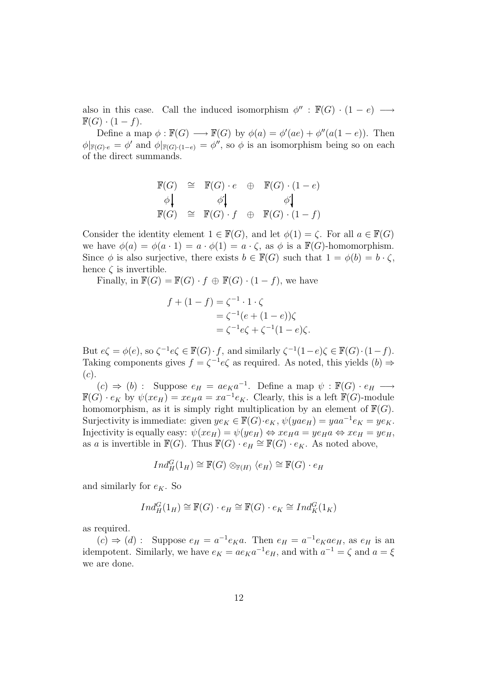also in this case. Call the induced isomorphism  $\phi'': \mathbb{F}(G) \cdot (1-e) \longrightarrow$  $\mathbb{F}(G) \cdot (1-f).$ 

Define a map  $\phi : \mathbb{F}(G) \longrightarrow \mathbb{F}(G)$  by  $\phi(a) = \phi'(ae) + \phi''(a(1-e))$ . Then  $\phi|_{\mathbb{F}(G)\cdot e} = \phi'$  and  $\phi|_{\mathbb{F}(G)\cdot (1-e)} = \phi''$ , so  $\phi$  is an isomorphism being so on each of the direct summands.

$$
\begin{array}{rcl}\n\mathbb{F}(G) & \cong & \mathbb{F}(G) \cdot e \quad \oplus & \mathbb{F}(G) \cdot (1 - e) \\
\phi \downarrow & & \phi' \downarrow & & \phi' \downarrow \\
\mathbb{F}(G) & \cong & \mathbb{F}(G) \cdot f \quad \oplus & \mathbb{F}(G) \cdot (1 - f)\n\end{array}
$$

Consider the identity element  $1 \in \mathbb{F}(G)$ , and let  $\phi(1) = \zeta$ . For all  $a \in \mathbb{F}(G)$ we have  $\phi(a) = \phi(a \cdot 1) = a \cdot \phi(1) = a \cdot \zeta$ , as  $\phi$  is a  $\mathbb{F}(G)$ -homomorphism. Since  $\phi$  is also surjective, there exists  $b \in \mathbb{F}(G)$  such that  $1 = \phi(b) = b \cdot \zeta$ , hence  $\zeta$  is invertible.

Finally, in  $\mathbb{F}(G) = \mathbb{F}(G) \cdot f \oplus \mathbb{F}(G) \cdot (1 - f)$ , we have

$$
f + (1 - f) = \zeta^{-1} \cdot 1 \cdot \zeta
$$
  
=  $\zeta^{-1} (e + (1 - e)) \zeta$   
=  $\zeta^{-1} e \zeta + \zeta^{-1} (1 - e) \zeta$ .

But  $e\zeta = \phi(e)$ , so  $\zeta^{-1}e\zeta \in \mathbb{F}(G) \cdot f$ , and similarly  $\zeta^{-1}(1-e)\zeta \in \mathbb{F}(G) \cdot (1-f)$ . Taking components gives  $f = \zeta^{-1}e\zeta$  as required. As noted, this yields  $(b) \Rightarrow$  $(c).$ 

 $(c) \Rightarrow (b)$  : Suppose  $e_H = ae_Ka^{-1}$ . Define a map  $\psi : \mathbb{F}(G) \cdot e_H \longrightarrow$  $\mathbb{F}(G) \cdot e_K$  by  $\psi(xe_H) = xe_H a = xa^{-1}e_K$ . Clearly, this is a left  $\mathbb{F}(G)$ -module homomorphism, as it is simply right multiplication by an element of  $\mathbb{F}(G)$ . Surjectivity is immediate: given  $ye_K \in \mathbb{F}(G) \cdot e_K$ ,  $\psi(yae_H) = yaa^{-1}e_K = ye_K$ . Injectivity is equally easy:  $\psi(xe_H) = \psi(ye_H) \Leftrightarrow xe_Ha = ye_Ha \Leftrightarrow xe_H = ye_H$ , as a is invertible in  $\mathbb{F}(G)$ . Thus  $\mathbb{F}(G) \cdot e_H \cong \mathbb{F}(G) \cdot e_K$ . As noted above,

$$
Ind_H^G(1_H) \cong \mathbb{F}(G) \otimes_{\mathbb{F}(H)} \langle e_H \rangle \cong \mathbb{F}(G) \cdot e_H
$$

and similarly for  $e_K$ . So

$$
Ind_H^G(1_H) \cong \mathbb{F}(G) \cdot e_H \cong \mathbb{F}(G) \cdot e_K \cong Ind_K^G(1_K)
$$

as required.

 $(c) \Rightarrow (d)$ : Suppose  $e_H = a^{-1}e_K a$ . Then  $e_H = a^{-1}e_K a e_H$ , as  $e_H$  is an idempotent. Similarly, we have  $e_K = ae_K a^{-1}e_H$ , and with  $a^{-1} = \zeta$  and  $a = \xi$ we are done.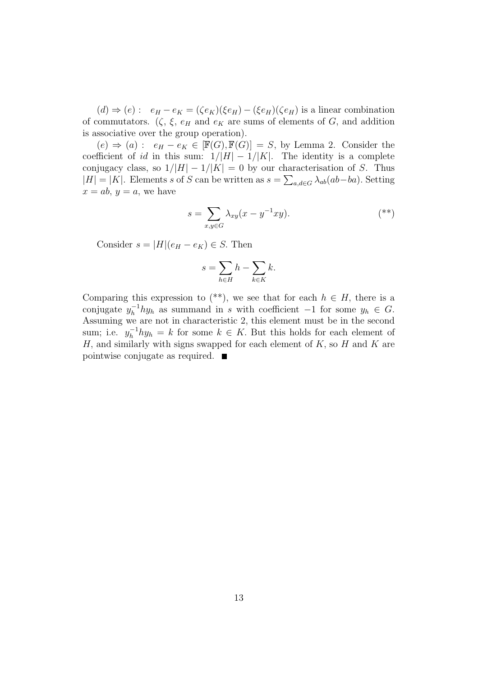$(d) \Rightarrow (e) : e_H - e_K = (\zeta e_K)(\xi e_H) - (\xi e_H)(\zeta e_H)$  is a linear combination of commutators.  $(\zeta, \xi, e_H \text{ and } e_K \text{ are sums of elements of } G, \text{ and addition})$ is associative over the group operation).

 $(e) \Rightarrow (a) : e_H - e_K \in [\mathbb{F}(G), \mathbb{F}(G)] = S$ , by Lemma 2. Consider the coefficient of id in this sum:  $1/|H| - 1/|K|$ . The identity is a complete conjugacy class, so  $1/|H| - 1/|K| = 0$  by our characterisation of S. Thus  $|H| = |K|$ . Elements s of S can be written as  $s = \sum_{a,d \in G} \lambda_{ab}(ab - ba)$ . Setting  $x = ab, y = a$ , we have

$$
s = \sum_{x,y \in G} \lambda_{xy}(x - y^{-1}xy). \tag{**}
$$

Consider  $s = |H|(e_H - e_K) \in S$ . Then

$$
s = \sum_{h \in H} h - \sum_{k \in K} k.
$$

Comparing this expression to (\*\*), we see that for each  $h \in H$ , there is a conjugate  $y_h^{-1} h y_h$  as summand in s with coefficient  $-1$  for some  $y_h \in G$ . Assuming we are not in characteristic 2, this element must be in the second sum; i.e.  $y_h^{-1} h y_h = k$  for some  $k \in K$ . But this holds for each element of  $H$ , and similarly with signs swapped for each element of  $K$ , so  $H$  and  $K$  are pointwise conjugate as required.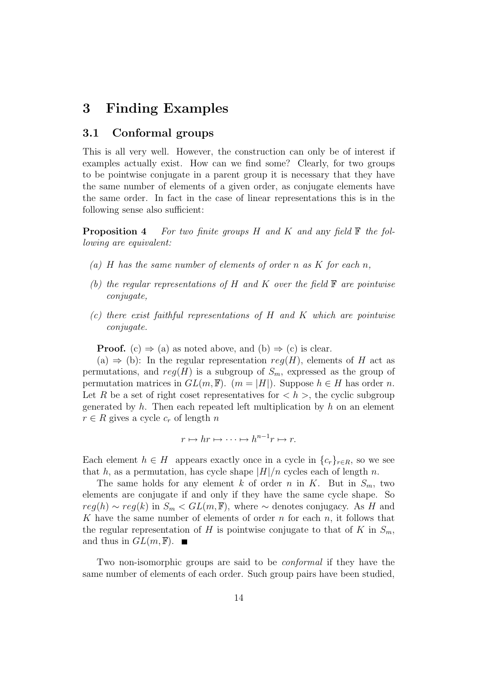## **3 Finding Examples**

#### **3.1 Conformal groups**

This is all very well. However, the construction can only be of interest if examples actually exist. How can we find some? Clearly, for two groups to be pointwise conjugate in a parent group it is necessary that they have the same number of elements of a given order, as conjugate elements have the same order. In fact in the case of linear representations this is in the following sense also sufficient:

**Proposition 4** For two finite groups H and K and any field  $\mathbb{F}$  the following are equivalent:

- (a) H has the same number of elements of order n as K for each n,
- (b) the regular representations of H and K over the field  $\mathbb F$  are pointwise conjugate,
- (c) there exist faithful representations of H and K which are pointwise conjugate.

**Proof.** (c)  $\Rightarrow$  (a) as noted above, and (b)  $\Rightarrow$  (c) is clear.

(a)  $\Rightarrow$  (b): In the regular representation  $reg(H)$ , elements of H act as permutations, and  $reg(H)$  is a subgroup of  $S_m$ , expressed as the group of permutation matrices in  $GL(m, \mathbb{F})$ .  $(m = |H|)$ . Suppose  $h \in H$  has order n. Let R be a set of right coset representatives for  $\langle h \rangle$ , the cyclic subgroup generated by  $h$ . Then each repeated left multiplication by  $h$  on an element  $r \in R$  gives a cycle  $c_r$  of length n

$$
r \mapsto hr \mapsto \cdots \mapsto h^{n-1}r \mapsto r.
$$

Each element  $h \in H$  appears exactly once in a cycle in  $\{c_r\}_{r \in R}$ , so we see that h, as a permutation, has cycle shape  $|H|/n$  cycles each of length n.

The same holds for any element k of order n in K. But in  $S_m$ , two elements are conjugate if and only if they have the same cycle shape. So  $reg(h) \sim reg(k)$  in  $S_m < GL(m, \mathbb{F})$ , where  $\sim$  denotes conjugacy. As H and K have the same number of elements of order n for each  $n$ , it follows that the regular representation of H is pointwise conjugate to that of K in  $S_m$ , and thus in  $GL(m, \mathbb{F})$ .

Two non-isomorphic groups are said to be *conformal* if they have the same number of elements of each order. Such group pairs have been studied,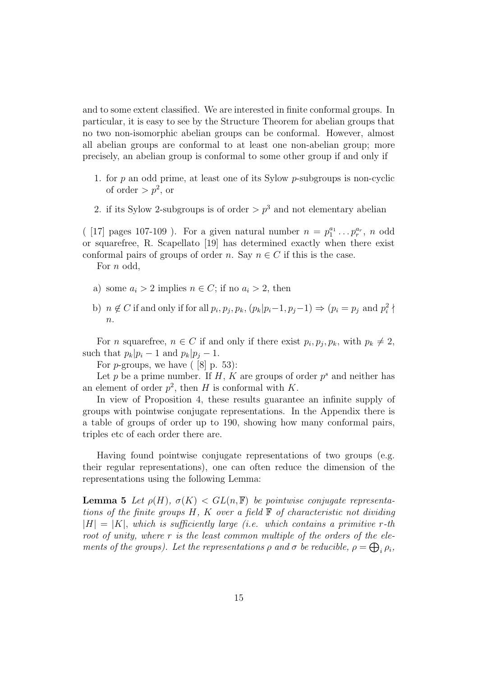and to some extent classified. We are interested in finite conformal groups. In particular, it is easy to see by the Structure Theorem for abelian groups that no two non-isomorphic abelian groups can be conformal. However, almost all abelian groups are conformal to at least one non-abelian group; more precisely, an abelian group is conformal to some other group if and only if

- 1. for p an odd prime, at least one of its Sylow p-subgroups is non-cyclic of order  $>p^2$ , or
- 2. if its Sylow 2-subgroups is of order  $\geq p^3$  and not elementary abelian

([17] pages 107-109). For a given natural number  $n = p_1^{a_1} \dots p_r^{a_r}$ , n odd or squarefree, R. Scapellato [19] has determined exactly when there exist conformal pairs of groups of order n. Say  $n \in C$  if this is the case.

For *n* odd,

- a) some  $a_i > 2$  implies  $n \in C$ ; if no  $a_i > 2$ , then
- b)  $n \notin C$  if and only if for all  $p_i, p_j, p_k, (p_k|p_i-1, p_j-1) \Rightarrow (p_i = p_j \text{ and } p_i^2 \nmid \text{ }$  $\overline{n}$ .

For *n* squarefree,  $n \in C$  if and only if there exist  $p_i, p_j, p_k$ , with  $p_k \neq 2$ , such that  $p_k|p_i - 1$  and  $p_k|p_j - 1$ .

For  $p$ -groups, we have  $($  [8] p. 53):

Let p be a prime number. If H, K are groups of order  $p^s$  and neither has an element of order  $p^2$ , then H is conformal with K.

In view of Proposition 4, these results guarantee an infinite supply of groups with pointwise conjugate representations. In the Appendix there is a table of groups of order up to 190, showing how many conformal pairs, triples etc of each order there are.

Having found pointwise conjugate representations of two groups (e.g. their regular representations), one can often reduce the dimension of the representations using the following Lemma:

**Lemma 5** Let  $\rho(H)$ ,  $\sigma(K) < GL(n, \mathbb{F})$  be pointwise conjugate representations of the finite groups  $H$ , K over a field  $\mathbb F$  of characteristic not dividing  $|H| = |K|$ , which is sufficiently large (i.e. which contains a primitive r-th root of unity, where r is the least common multiple of the orders of the elements of the groups). Let the representations  $\rho$  and  $\sigma$  be reducible,  $\rho = \bigoplus_i \rho_i$ ,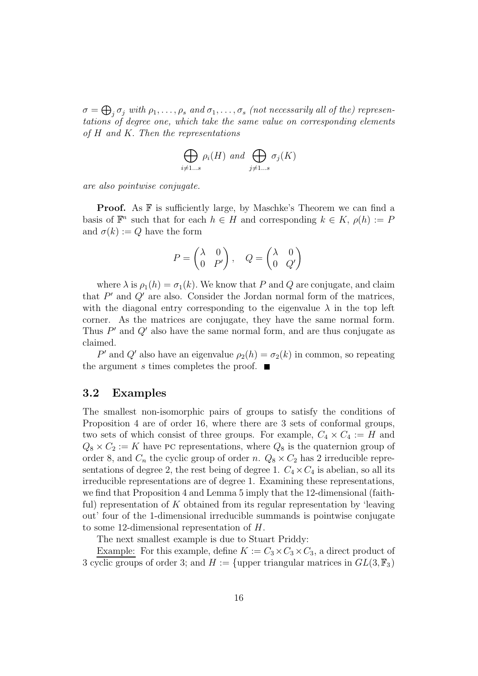$\sigma=\bigoplus_j\sigma_j$  with  $\rho_1,\ldots,\rho_s$  and  $\sigma_1,\ldots,\sigma_s$  (not necessarily all of the) representations of degree one, which take the same value on corresponding elements of H and K. Then the representations

$$
\bigoplus_{i \neq 1...s} \rho_i(H) \text{ and } \bigoplus_{j \neq 1...s} \sigma_j(K)
$$

are also pointwise conjugate.

**Proof.** As **F** is sufficiently large, by Maschke's Theorem we can find a basis of  $\mathbb{F}^n$  such that for each  $h \in H$  and corresponding  $k \in K$ ,  $\rho(h) := P$ and  $\sigma(k) := Q$  have the form

$$
P = \begin{pmatrix} \lambda & 0 \\ 0 & P' \end{pmatrix}, \quad Q = \begin{pmatrix} \lambda & 0 \\ 0 & Q' \end{pmatrix}
$$

where  $\lambda$  is  $\rho_1(h) = \sigma_1(k)$ . We know that P and Q are conjugate, and claim that  $P'$  and  $Q'$  are also. Consider the Jordan normal form of the matrices, with the diagonal entry corresponding to the eigenvalue  $\lambda$  in the top left corner. As the matrices are conjugate, they have the same normal form. Thus  $P'$  and  $Q'$  also have the same normal form, and are thus conjugate as claimed.

P' and Q' also have an eigenvalue  $\rho_2(h) = \sigma_2(k)$  in common, so repeating the argument s times completes the proof.  $\blacksquare$ 

#### **3.2 Examples**

The smallest non-isomorphic pairs of groups to satisfy the conditions of Proposition 4 are of order 16, where there are 3 sets of conformal groups, two sets of which consist of three groups. For example,  $C_4 \times C_4 := H$  and  $Q_8 \times C_2 := K$  have PC representations, where  $Q_8$  is the quaternion group of order 8, and  $C_n$  the cyclic group of order n.  $Q_8 \times C_2$  has 2 irreducible representations of degree 2, the rest being of degree 1.  $C_4 \times C_4$  is abelian, so all its irreducible representations are of degree 1. Examining these representations, we find that Proposition 4 and Lemma 5 imply that the 12-dimensional (faithful) representation of  $K$  obtained from its regular representation by 'leaving out' four of the 1-dimensional irreducible summands is pointwise conjugate to some 12-dimensional representation of H.

The next smallest example is due to Stuart Priddy:

Example: For this example, define  $K := C_3 \times C_3 \times C_3$ , a direct product of 3 cyclic groups of order 3; and  $H := \{\text{upper triangular matrices in } GL(3, \mathbb{F}_3) \}$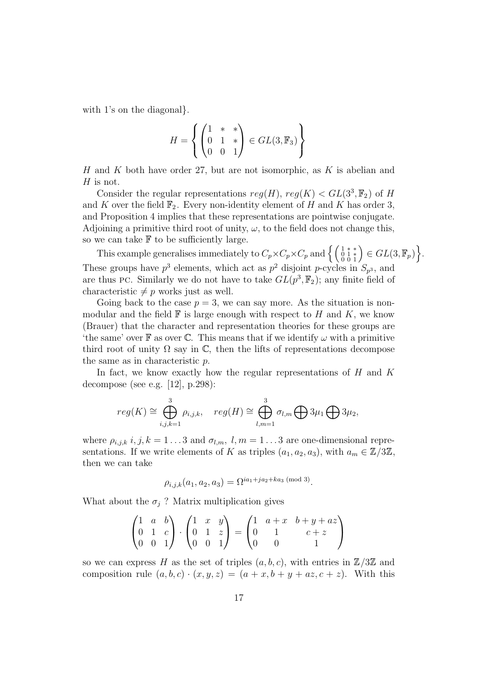with 1's on the diagonal.

$$
H = \left\{ \begin{pmatrix} 1 & * & * \\ 0 & 1 & * \\ 0 & 0 & 1 \end{pmatrix} \in GL(3, \mathbb{F}_3) \right\}
$$

H and K both have order 27, but are not isomorphic, as  $K$  is abelian and  $H$  is not.

Consider the regular representations  $reg(H), reg(K) < GL(3^3, \mathbb{F}_2)$  of H and K over the field  $\mathbb{F}_2$ . Every non-identity element of H and K has order 3, and Proposition 4 implies that these representations are pointwise conjugate. Adjoining a primitive third root of unity,  $\omega$ , to the field does not change this, so we can take  $\mathbb F$  to be sufficiently large.

This example generalises immediately to  $C_p \times C_p \times C_p$  and  $\left\{ \left( \begin{array}{c} 1 \ * \ * \\ 0 \ 0 \ 1 \end{array} \right) \in GL(3, \mathbb{F}_p) \right\}$ . These groups have  $p^3$  elements, which act as  $p^2$  disjoint p-cycles in  $S_{p^3}$ , and are thus PC. Similarly we do not have to take  $GL(p^3, \mathbb{F}_2)$ ; any finite field of characteristic  $\neq p$  works just as well.

Going back to the case  $p = 3$ , we can say more. As the situation is nonmodular and the field  $\mathbb F$  is large enough with respect to H and K, we know (Brauer) that the character and representation theories for these groups are 'the same' over  $\mathbb F$  as over  $\mathbb C$ . This means that if we identify  $\omega$  with a primitive third root of unity  $\Omega$  say in  $\mathbb{C}$ , then the lifts of representations decompose the same as in characteristic p.

In fact, we know exactly how the regular representations of  $H$  and  $K$ decompose (see e.g. [12], p.298):

$$
reg(K) \cong \bigoplus_{i,j,k=1}^{3} \rho_{i,j,k}, \quad reg(H) \cong \bigoplus_{l,m=1}^{3} \sigma_{l,m} \bigoplus 3\mu_1 \bigoplus 3\mu_2,
$$

where  $\rho_{i,j,k}$  i,  $j, k = 1...3$  and  $\sigma_{l,m}, l, m = 1...3$  are one-dimensional representations. If we write elements of K as triples  $(a_1, a_2, a_3)$ , with  $a_m \in \mathbb{Z}/3\mathbb{Z}$ , then we can take

$$
\rho_{i,j,k}(a_1, a_2, a_3) = \Omega^{ia_1+ja_2+ka_3 \pmod{3}}.
$$

What about the  $\sigma_j$ ? Matrix multiplication gives

$$
\begin{pmatrix} 1 & a & b \\ 0 & 1 & c \\ 0 & 0 & 1 \end{pmatrix} \cdot \begin{pmatrix} 1 & x & y \\ 0 & 1 & z \\ 0 & 0 & 1 \end{pmatrix} = \begin{pmatrix} 1 & a+x & b+y+az \\ 0 & 1 & c+z \\ 0 & 0 & 1 \end{pmatrix}
$$

so we can express H as the set of triples  $(a, b, c)$ , with entries in  $\mathbb{Z}/3\mathbb{Z}$  and composition rule  $(a, b, c) \cdot (x, y, z)=(a + x, b + y + az, c + z)$ . With this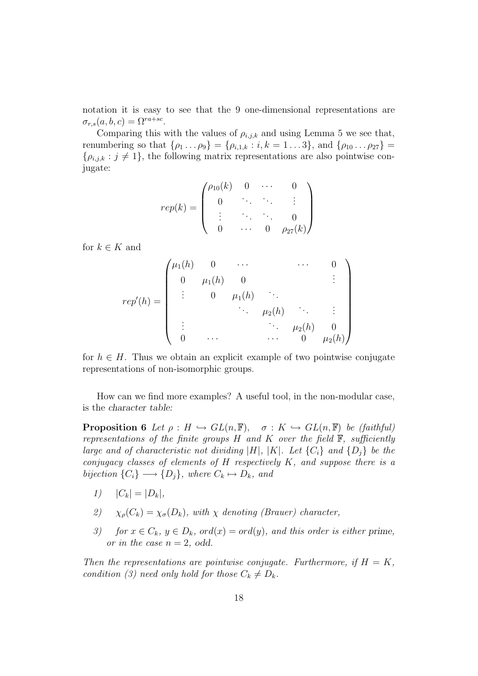notation it is easy to see that the 9 one-dimensional representations are  $\sigma_{r,s}(a, b, c)=\Omega^{ra+sc}.$ 

Comparing this with the values of  $\rho_{i,j,k}$  and using Lemma 5 we see that, renumbering so that  $\{\rho_1 \dots \rho_9\} = \{\rho_{i,1,k} : i, k = 1 \dots 3\}$ , and  $\{\rho_{10} \dots \rho_{27}\} =$  $\{\rho_{i,j,k} : j \neq 1\}$ , the following matrix representations are also pointwise conjugate:

$$
rep(k) = \begin{pmatrix} \rho_{10}(k) & 0 & \cdots & 0 \\ 0 & \ddots & \ddots & \vdots \\ \vdots & \ddots & \ddots & 0 \\ 0 & \cdots & 0 & \rho_{27}(k) \end{pmatrix}
$$

for  $k \in K$  and

$$
rep'(h) = \begin{pmatrix} \mu_1(h) & 0 & \cdots & & \cdots & 0 \\ 0 & \mu_1(h) & 0 & & & \vdots \\ & \vdots & & 0 & \mu_1(h) & \ddots & & \\ & & \ddots & \mu_2(h) & & \vdots & \\ \vdots & & & \ddots & \mu_2(h) & 0 \\ 0 & \cdots & & & \cdots & 0 & \mu_2(h) \end{pmatrix}
$$

for  $h \in H$ . Thus we obtain an explicit example of two pointwise conjugate representations of non-isomorphic groups.

How can we find more examples? A useful tool, in the non-modular case, is the *character table:*

**Proposition 6** Let  $\rho : H \hookrightarrow GL(n, \mathbb{F})$ ,  $\sigma : K \hookrightarrow GL(n, \mathbb{F})$  be (faithful) representations of the finite groups  $H$  and  $K$  over the field  $\mathbb{F}$ , sufficiently large and of characteristic not dividing  $|H|, |K|$ . Let  $\{C_i\}$  and  $\{D_i\}$  be the conjugacy classes of elements of  $H$  respectively  $K$ , and suppose there is a bijection  $\{C_i\} \longrightarrow \{D_j\}$ , where  $C_k \mapsto D_k$ , and

- 1)  $|C_k| = |D_k|$ ,
- 2)  $\chi_{\rho}(C_k) = \chi_{\sigma}(D_k)$ , with  $\chi$  denoting (Brauer) character,
- 3) for  $x \in C_k$ ,  $y \in D_k$ ,  $\text{ord}(x) = \text{ord}(y)$ , and this order is either prime, or in the case  $n = 2$ , odd.

Then the representations are pointwise conjugate. Furthermore, if  $H = K$ , condition (3) need only hold for those  $C_k \neq D_k$ .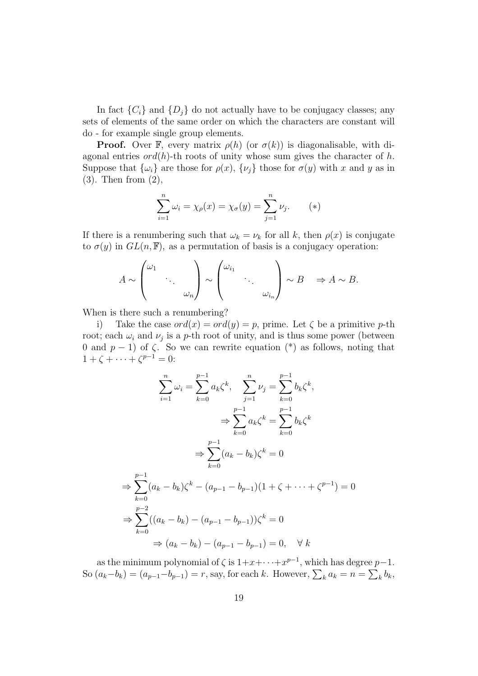In fact  $\{C_i\}$  and  $\{D_i\}$  do not actually have to be conjugacy classes; any sets of elements of the same order on which the characters are constant will do - for example single group elements.

**Proof.** Over F, every matrix  $\rho(h)$  (or  $\sigma(k)$ ) is diagonalisable, with diagonal entries  $\text{ord}(h)$ -th roots of unity whose sum gives the character of h. Suppose that  $\{\omega_i\}$  are those for  $\rho(x)$ ,  $\{\nu_j\}$  those for  $\sigma(y)$  with x and y as in (3). Then from (2),

$$
\sum_{i=1}^{n} \omega_i = \chi_{\rho}(x) = \chi_{\sigma}(y) = \sum_{j=1}^{n} \nu_j.
$$
 (\*)

If there is a renumbering such that  $\omega_k = \nu_k$  for all k, then  $\rho(x)$  is conjugate to  $\sigma(y)$  in  $GL(n, \mathbb{F})$ , as a permutation of basis is a conjugacy operation:

$$
A \sim \begin{pmatrix} \omega_1 & & \\ & \ddots & \\ & & \omega_n \end{pmatrix} \sim \begin{pmatrix} \omega_{i_1} & & \\ & \ddots & \\ & & \omega_{i_n} \end{pmatrix} \sim B \Rightarrow A \sim B.
$$

When is there such a renumbering?

i) Take the case  $ord(x) = ord(y) = p$ , prime. Let  $\zeta$  be a primitive p-th root; each  $\omega_i$  and  $\nu_j$  is a p-th root of unity, and is thus some power (between 0 and  $p-1$ ) of  $\zeta$ . So we can rewrite equation (\*) as follows, noting that  $1 + \zeta + \cdots + \zeta^{p-1} = 0$ :

$$
\sum_{i=1}^{n} \omega_i = \sum_{k=0}^{p-1} a_k \zeta^k, \quad \sum_{j=1}^{n} \nu_j = \sum_{k=0}^{p-1} b_k \zeta^k,
$$
  

$$
\Rightarrow \sum_{k=0}^{p-1} a_k \zeta^k = \sum_{k=0}^{p-1} b_k \zeta^k
$$
  

$$
\Rightarrow \sum_{k=0}^{p-1} (a_k - b_k) \zeta^k = 0
$$
  

$$
\Rightarrow \sum_{k=0}^{p-1} (a_k - b_k) \zeta^k - (a_{p-1} - b_{p-1})(1 + \zeta + \dots + \zeta^{p-1}) = 0
$$
  

$$
\Rightarrow \sum_{k=0}^{p-2} ((a_k - b_k) - (a_{p-1} - b_{p-1})) \zeta^k = 0
$$
  

$$
\Rightarrow (a_k - b_k) - (a_{p-1} - b_{p-1}) = 0, \quad \forall k
$$

as the minimum polynomial of  $\zeta$  is  $1+x+\cdots+x^{p-1}$ , which has degree  $p-1$ . So  $(a_k-b_k)=(a_{p-1}-b_{p-1})=r$ , say, for each k. However,  $\sum_k a_k = n = \sum_k b_k$ ,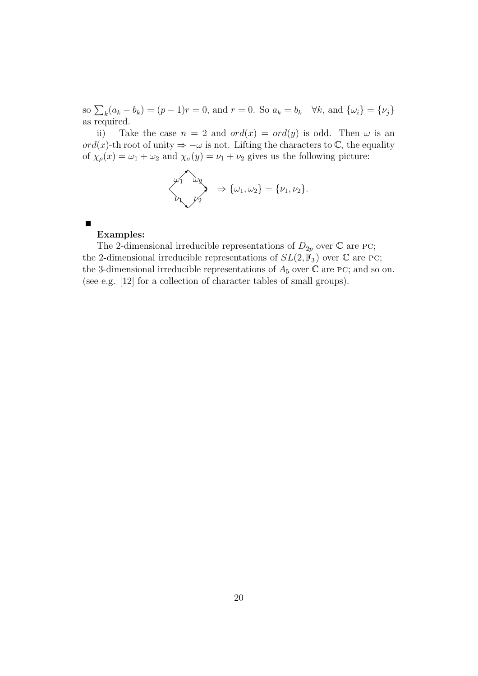so  $\sum_{k}(a_{k}-b_{k})=(p-1)r=0$ , and  $r=0$ . So  $a_{k}=b_{k}$   $\forall k$ , and  $\{\omega_{i}\}=\{\nu_{j}\}$ as required.

ii) Take the case  $n = 2$  and  $ord(x) = ord(y)$  is odd. Then  $\omega$  is an ord(x)-th root of unity  $\Rightarrow -\omega$  is not. Lifting the characters to  $\mathbb{C}$ , the equality of  $\chi_{\rho}(x) = \omega_1 + \omega_2$  and  $\chi_{\sigma}(y) = \nu_1 + \nu_2$  gives us the following picture:

$$
\begin{pmatrix} \omega_1 & \omega_2 \\ \omega_2 & \omega_1 \end{pmatrix} \Rightarrow {\omega_1, \omega_2} = {\nu_1, \nu_2}.
$$

 $\blacksquare$ 

#### **Examples:**

The 2-dimensional irreducible representations of  $D_{2p}$  over  $\mathbb C$  are PC; the 2-dimensional irreducible representations of  $SL(2, \mathbb{F}_3)$  over  $\mathbb C$  are PC; the 3-dimensional irreducible representations of  $A_5$  over  $\mathbb C$  are PC; and so on. (see e.g. [12] for a collection of character tables of small groups).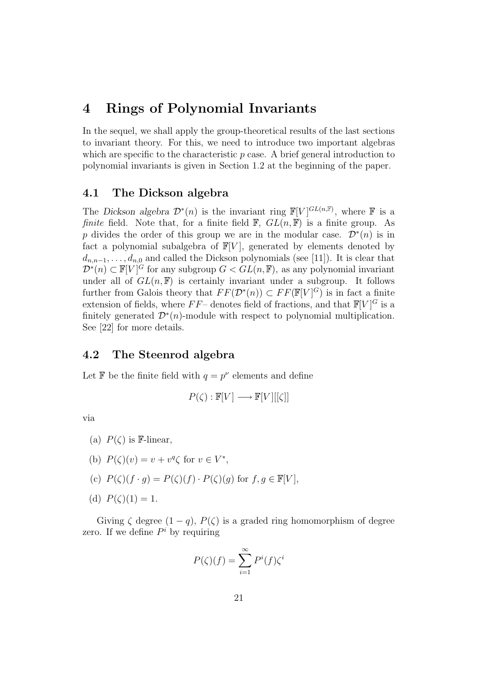### **4 Rings of Polynomial Invariants**

In the sequel, we shall apply the group-theoretical results of the last sections to invariant theory. For this, we need to introduce two important algebras which are specific to the characteristic  $p$  case. A brief general introduction to polynomial invariants is given in Section 1.2 at the beginning of the paper.

#### **4.1 The Dickson algebra**

The *Dickson algebra*  $\mathcal{D}^*(n)$  is the invariant ring  $\mathbb{F}[V]^{GL(n,\mathbb{F})}$ , where  $\mathbb F$  is a *finite* field. Note that, for a finite field  $\mathbb{F}$ ,  $GL(n, \mathbb{F})$  is a finite group. As p divides the order of this group we are in the modular case.  $\mathcal{D}^*(n)$  is in fact a polynomial subalgebra of  $\mathbb{F}[V]$ , generated by elements denoted by  $d_{n,n-1},\ldots,d_{n,0}$  and called the Dickson polynomials (see [11]). It is clear that  $\mathcal{D}^*(n) \subset \mathbb{F}[V]^G$  for any subgroup  $G < GL(n, \mathbb{F})$ , as any polynomial invariant under all of  $GL(n, \mathbb{F})$  is certainly invariant under a subgroup. It follows further from Galois theory that  $FF(\mathcal{D}^*(n)) \subset FF(\mathbb{F}[V]^G)$  is in fact a finite extension of fields, where  $FF-$  denotes field of fractions, and that  $\mathbb{F}[V]^G$  is a finitely generated  $\mathcal{D}^*(n)$ -module with respect to polynomial multiplication. See [22] for more details.

#### **4.2 The Steenrod algebra**

Let **F** be the finite field with  $q = p^{\nu}$  elements and define

$$
P(\zeta): \mathbb{F}[V] \longrightarrow \mathbb{F}[V][[\zeta]]
$$

via

- (a)  $P(\zeta)$  is **F**-linear,
- (b)  $P(\zeta)(v) = v + v^q \zeta$  for  $v \in V^*$ ,
- (c)  $P(\zeta)(f \cdot q) = P(\zeta)(f) \cdot P(\zeta)(q)$  for  $f, q \in \mathbb{F}[V]$ ,
- (d)  $P(\zeta)(1) = 1$ .

Giving  $\zeta$  degree  $(1 - q)$ ,  $P(\zeta)$  is a graded ring homomorphism of degree zero. If we define  $P^i$  by requiring

$$
P(\zeta)(f) = \sum_{i=1}^{\infty} P^{i}(f)\zeta^{i}
$$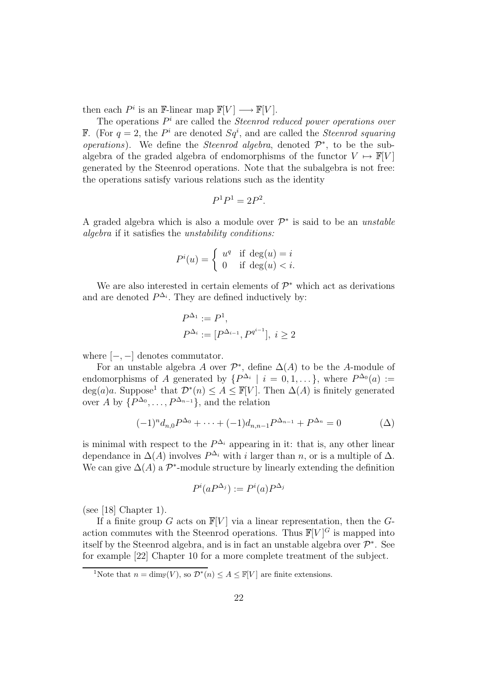then each  $P^i$  is an F-linear map  $\mathbb{F}[V] \longrightarrow \mathbb{F}[V]$ .

The operations  $P^i$  are called the *Steenrod reduced power operations over* **F.** (For  $q = 2$ , the  $P<sup>i</sup>$  are denoted  $Sq<sup>i</sup>$ , and are called the *Steenrod squaring operations*). We define the *Steenrod algebra*, denoted  $\mathcal{P}^*$ , to be the subalgebra of the graded algebra of endomorphisms of the functor  $V \mapsto \mathbb{F}[V]$ generated by the Steenrod operations. Note that the subalgebra is not free: the operations satisfy various relations such as the identity

$$
P^1P^1 = 2P^2.
$$

A graded algebra which is also a module over  $\mathcal{P}^*$  is said to be an unstable algebra if it satisfies the unstability conditions:

$$
P^{i}(u) = \begin{cases} u^{q} & \text{if } \deg(u) = i \\ 0 & \text{if } \deg(u) < i. \end{cases}
$$

We are also interested in certain elements of  $\mathcal{P}^*$  which act as derivations and are denoted  $P^{\Delta_i}$ . They are defined inductively by:

$$
P^{\Delta_1} := P^1,
$$
  

$$
P^{\Delta_i} := [P^{\Delta_{i-1}}, P^{q^{i-1}}], i \ge 2
$$

where  $[-, -]$  denotes commutator.

For an unstable algebra A over  $\mathcal{P}^*$ , define  $\Delta(A)$  to be the A-module of endomorphisms of A generated by  $\{P^{\Delta_i} \mid i = 0, 1, \ldots\}$ , where  $P^{\Delta_0}(a) :=$  $deg(a)a$ . Suppose<sup>1</sup> that  $\mathcal{D}^*(n) \leq A \leq \mathbb{F}[V]$ . Then  $\Delta(A)$  is finitely generated over A by  $\{P^{\Delta_0}, \ldots, P^{\Delta_{n-1}}\}$ , and the relation

$$
(-1)^{n} d_{n,0} P^{\Delta_0} + \dots + (-1) d_{n,n-1} P^{\Delta_{n-1}} + P^{\Delta_n} = 0 \tag{ \Delta}
$$

is minimal with respect to the  $P^{\Delta_i}$  appearing in it: that is, any other linear dependance in  $\Delta(A)$  involves  $P^{\Delta_i}$  with *i* larger than *n*, or is a multiple of  $\Delta$ . We can give  $\Delta(A)$  a  $\mathcal{P}^*$ -module structure by linearly extending the definition

$$
P^i(aP^{\Delta_j}) := P^i(a)P^{\Delta_j}
$$

(see [18] Chapter 1).

If a finite group G acts on  $\mathbb{F}[V]$  via a linear representation, then the Gaction commutes with the Steenrod operations. Thus  $\mathbb{F}[V]^G$  is mapped into itself by the Steenrod algebra, and is in fact an unstable algebra over  $\mathcal{P}^*$ . See for example [22] Chapter 10 for a more complete treatment of the subject.

<sup>&</sup>lt;sup>1</sup>Note that  $n = \dim_{\mathbb{F}}(V)$ , so  $\mathcal{D}^*(n) \leq A \leq \mathbb{F}[V]$  are finite extensions.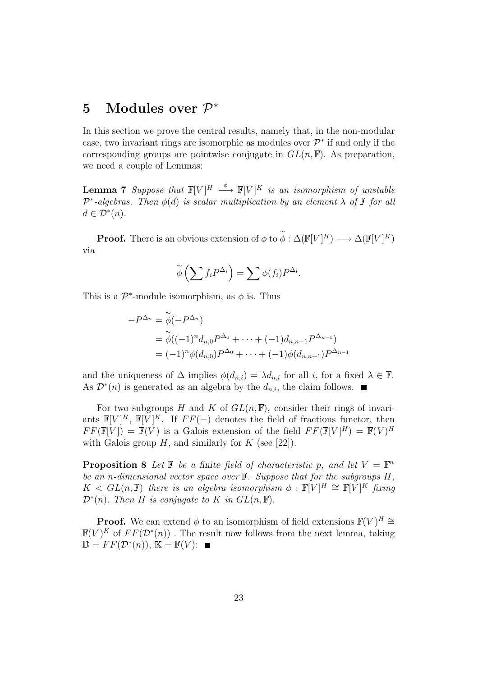## **5 Modules over** P<sup>∗</sup>

In this section we prove the central results, namely that, in the non-modular case, two invariant rings are isomorphic as modules over  $\mathcal{P}^*$  if and only if the corresponding groups are pointwise conjugate in  $GL(n, \mathbb{F})$ . As preparation, we need a couple of Lemmas:

**Lemma 7** Suppose that  $\mathbb{F}[V]^H \stackrel{\phi}{\longrightarrow} \mathbb{F}[V]^K$  is an isomorphism of unstable  $\mathcal{P}^*$ -algebras. Then  $\phi(d)$  is scalar multiplication by an element  $\lambda$  of  $\mathbb F$  for all  $d \in \mathcal{D}^*(n)$ .

**Proof.** There is an obvious extension of  $\phi$  to  $\widetilde{\phi}$  :  $\Delta(\mathbb{F}[V]^H) \longrightarrow \Delta(\mathbb{F}[V]^K)$ via

$$
\widetilde{\phi}\left(\sum f_i P^{\Delta_i}\right) = \sum \phi(f_i) P^{\Delta_i}.
$$

This is a  $\mathcal{P}^*$ -module isomorphism, as  $\phi$  is. Thus

$$
-P^{\Delta_n} = \widetilde{\phi}(-P^{\Delta_n})
$$
  
=  $\widetilde{\phi}((-1)^n d_{n,0} P^{\Delta_0} + \dots + (-1) d_{n,n-1} P^{\Delta_{n-1}})$   
=  $(-1)^n \phi(d_{n,0}) P^{\Delta_0} + \dots + (-1) \phi(d_{n,n-1}) P^{\Delta_{n-1}}$ 

and the uniqueness of  $\Delta$  implies  $\phi(d_{n,i}) = \lambda d_{n,i}$  for all i, for a fixed  $\lambda \in \mathbb{F}$ . As  $\mathcal{D}^*(n)$  is generated as an algebra by the  $d_{n,i}$ , the claim follows.  $\blacksquare$ 

For two subgroups H and K of  $GL(n, \mathbb{F})$ , consider their rings of invariants  $\mathbb{F}[V]^H$ ,  $\mathbb{F}[V]^K$ . If  $FF(-)$  denotes the field of fractions functor, then  $FF(\mathbb{F}[V]) = \mathbb{F}(V)$  is a Galois extension of the field  $FF(\mathbb{F}[V]^H) = \mathbb{F}(V)^H$ with Galois group  $H$ , and similarly for  $K$  (see [22]).

**Proposition 8** Let  $\mathbb{F}$  be a finite field of characteristic p, and let  $V = \mathbb{F}^n$ be an n-dimensional vector space over  $\mathbb F$ . Suppose that for the subgroups  $H$ ,  $K \leq GL(n, \mathbb{F})$  there is an algebra isomorphism  $\phi : \mathbb{F}[V]^H \cong \mathbb{F}[V]^K$  fixing  $\mathcal{D}^*(n)$ . Then H is conjugate to K in  $GL(n,\mathbb{F})$ .

**Proof.** We can extend  $\phi$  to an isomorphism of field extensions  $\mathbb{F}(V)^H \cong$  $\mathbb{F}(V)^K$  of  $FF(\mathcal{D}^*(n))$ . The result now follows from the next lemma, taking  $\mathbb{D} = FF(\mathcal{D}^*(n)), \mathbb{K} = \mathbb{F}(V):$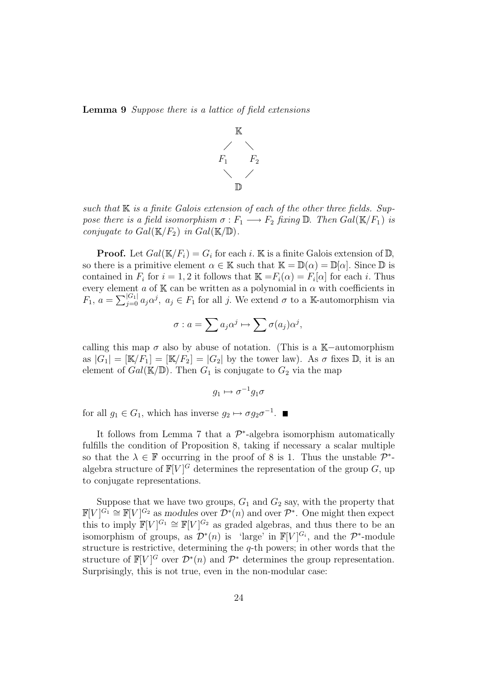**Lemma 9** Suppose there is a lattice of field extensions



such that  $\mathbb K$  is a finite Galois extension of each of the other three fields. Suppose there is a field isomorphism  $\sigma : F_1 \longrightarrow F_2$  fixing  $\mathbb D$ . Then  $Gal(\mathbb K/F_1)$  is conjugate to  $Gal(\mathbb{K}/F_2)$  in  $Gal(\mathbb{K}/\mathbb{D})$ .

**Proof.** Let  $Gal(\mathbb{K}/F_i) = G_i$  for each i. K is a finite Galois extension of  $\mathbb{D}$ , so there is a primitive element  $\alpha \in \mathbb{K}$  such that  $\mathbb{K} = \mathbb{D}(\alpha) = \mathbb{D}[\alpha]$ . Since  $\mathbb D$  is contained in  $F_i$  for  $i = 1, 2$  it follows that  $\mathbb{K} = F_i(\alpha) = F_i[\alpha]$  for each i. Thus every element  $a$  of K can be written as a polynomial in  $\alpha$  with coefficients in  $F_1, a = \sum_{j=0}^{|G_1|} a_j \alpha^j, a_j \in F_1$  for all j. We extend  $\sigma$  to a K-automorphism via

$$
\sigma: a = \sum a_j \alpha^j \mapsto \sum \sigma(a_j) \alpha^j,
$$

calling this map  $\sigma$  also by abuse of notation. (This is a K-automorphism as  $|G_1| = [\mathbb{K}/F_1] = [\mathbb{K}/F_2] = |G_2|$  by the tower law). As  $\sigma$  fixes  $\mathbb{D}$ , it is an element of  $Gal(\mathbb{K}/\mathbb{D})$ . Then  $G_1$  is conjugate to  $G_2$  via the map

$$
g_1\mapsto \sigma^{-1}g_1\sigma
$$

for all  $g_1 \in G_1$ , which has inverse  $g_2 \mapsto \sigma g_2 \sigma^{-1}$ .

It follows from Lemma 7 that a  $\mathcal{P}^*$ -algebra isomorphism automatically fulfills the condition of Proposition 8, taking if necessary a scalar multiple so that the  $\lambda \in \mathbb{F}$  occurring in the proof of 8 is 1. Thus the unstable  $\mathcal{P}^*$ algebra structure of  $\mathbb{F}[V]^G$  determines the representation of the group G, up to conjugate representations.

Suppose that we have two groups,  $G_1$  and  $G_2$  say, with the property that  $\mathbb{F}[V]^{G_1} \cong \mathbb{F}[V]^{G_2}$  as *modules* over  $\mathcal{D}^*(n)$  and over  $\mathcal{P}^*$ . One might then expect this to imply  $\mathbb{F}[V]^{G_1} \cong \mathbb{F}[V]^{G_2}$  as graded algebras, and thus there to be an isomorphism of groups, as  $\mathcal{D}^*(n)$  is 'large' in  $\mathbb{F}[V]^{G_i}$ , and the  $\mathcal{P}^*$ -module structure is restrictive, determining the q-th powers; in other words that the structure of  $\mathbb{F}[V]^G$  over  $\mathcal{D}^*(n)$  and  $\mathcal{P}^*$  determines the group representation. Surprisingly, this is not true, even in the non-modular case: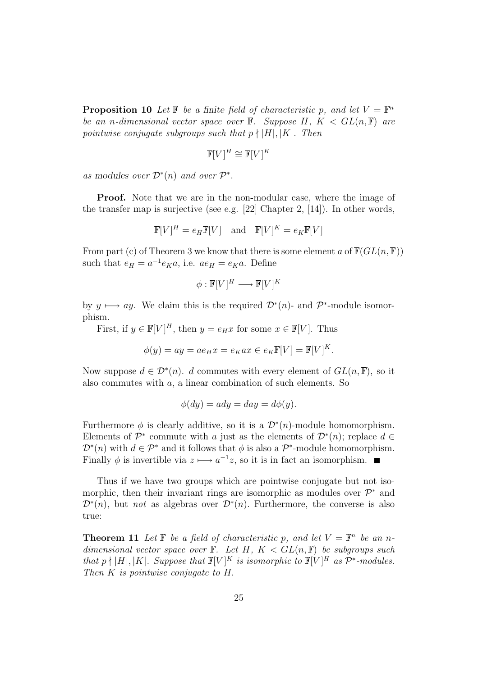**Proposition 10** Let  $\mathbb{F}$  be a finite field of characteristic p, and let  $V = \mathbb{F}^n$ be an n-dimensional vector space over  $\mathbb{F}$ . Suppose H,  $K < GL(n, \mathbb{F})$  are pointwise conjugate subgroups such that  $p \nmid |H|, |K|$ . Then

$$
\mathbb{F}[V]^H \cong \mathbb{F}[V]^K
$$

as modules over  $\mathcal{D}^*(n)$  and over  $\mathcal{P}^*$ .

**Proof.** Note that we are in the non-modular case, where the image of the transfer map is surjective (see e.g. [22] Chapter 2, [14]). In other words,

$$
\mathbb{F}[V]^H = e_H \mathbb{F}[V] \quad \text{and} \quad \mathbb{F}[V]^K = e_K \mathbb{F}[V]
$$

From part (c) of Theorem 3 we know that there is some element a of  $\mathbb{F}(GL(n,\mathbb{F}))$ such that  $e_H = a^{-1}e_K a$ , i.e.  $ae_H = e_K a$ . Define

$$
\phi : \mathbb{F}[V]^H \longrightarrow \mathbb{F}[V]^K
$$

by  $y \mapsto ay$ . We claim this is the required  $\mathcal{D}^*(n)$ - and  $\mathcal{P}^*$ -module isomorphism.

First, if  $y \in \mathbb{F}[V]^H$ , then  $y = e_H x$  for some  $x \in \mathbb{F}[V]$ . Thus

$$
\phi(y) = ay = ae_Hx = e_Kax \in e_K\mathbb{F}[V] = \mathbb{F}[V]^K.
$$

Now suppose  $d \in \mathcal{D}^*(n)$ . d commutes with every element of  $GL(n,\mathbb{F})$ , so it also commutes with a, a linear combination of such elements. So

$$
\phi(dy) = ady = day = d\phi(y).
$$

Furthermore  $\phi$  is clearly additive, so it is a  $\mathcal{D}^*(n)$ -module homomorphism. Elements of  $\mathcal{P}^*$  commute with a just as the elements of  $\mathcal{D}^*(n)$ ; replace  $d \in$  $\mathcal{D}^*(n)$  with  $d \in \mathcal{P}^*$  and it follows that  $\phi$  is also a  $\mathcal{P}^*$ -module homomorphism. Finally  $\phi$  is invertible via  $z \mapsto a^{-1}z$ , so it is in fact an isomorphism.  $\blacksquare$ 

Thus if we have two groups which are pointwise conjugate but not isomorphic, then their invariant rings are isomorphic as modules over  $\mathcal{P}^*$  and  $\mathcal{D}^{*}(n)$ , but not as algebras over  $\mathcal{D}^{*}(n)$ . Furthermore, the converse is also true:

**Theorem 11** Let  $\mathbb{F}$  be a field of characteristic p, and let  $V = \mathbb{F}^n$  be an ndimensional vector space over  $\mathbb{F}$ . Let H,  $K < GL(n, \mathbb{F})$  be subgroups such that  $p \nmid |H|, |K|$ . Suppose that  $\mathbb{F}[V]^K$  is isomorphic to  $\mathbb{F}[V]^H$  as  $\mathcal{P}^*$ -modules. Then K is pointwise conjugate to H.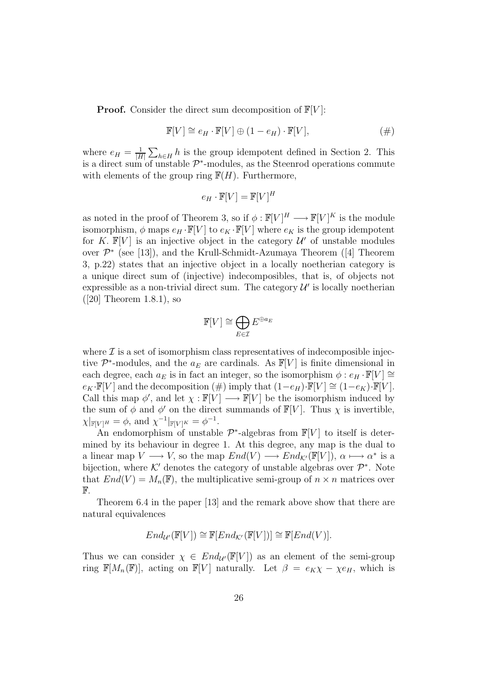**Proof.** Consider the direct sum decomposition of  $\mathbb{F}[V]$ :

$$
\mathbb{F}[V] \cong e_H \cdot \mathbb{F}[V] \oplus (1 - e_H) \cdot \mathbb{F}[V],\tag{\#}
$$

where  $e_H = \frac{1}{|H|} \sum_{h \in H} h$  is the group idempotent defined in Section 2. This is a direct sum of unstable  $\mathcal{P}^*$ -modules, as the Steenrod operations commute with elements of the group ring  $F(H)$ . Furthermore,

$$
e_H \cdot \mathbb{F}[V] = \mathbb{F}[V]^H
$$

as noted in the proof of Theorem 3, so if  $\phi: \mathbb{F}[V]^H \longrightarrow \mathbb{F}[V]^K$  is the module isomorphism,  $\phi$  maps  $e_H \cdot \mathbb{F}[V]$  to  $e_K \cdot \mathbb{F}[V]$  where  $e_K$  is the group idempotent for K.  $\mathbb{F}[V]$  is an injective object in the category  $\mathcal{U}'$  of unstable modules over P<sup>∗</sup> (see [13]), and the Krull-Schmidt-Azumaya Theorem ([4] Theorem 3, p.22) states that an injective object in a locally noetherian category is a unique direct sum of (injective) indecomposibles, that is, of objects not expressible as a non-trivial direct sum. The category  $\mathcal{U}'$  is locally noetherian ([20] Theorem 1.8.1), so

$$
\mathbb{F}[V] \cong \bigoplus_{E \in \mathcal{I}} E^{\oplus a_E}
$$

where  $\mathcal I$  is a set of isomorphism class representatives of indecomposible injective  $\mathcal{P}^*$ -modules, and the  $a_E$  are cardinals. As  $\mathbb{F}[V]$  is finite dimensional in each degree, each  $a_E$  is in fact an integer, so the isomorphism  $\phi : e_H \cdot \mathbb{F}[V] \cong$  $e_K \cdot \mathbb{F}[V]$  and the decomposition  $(\#)$  imply that  $(1-e_H) \cdot \mathbb{F}[V] \cong (1-e_K) \cdot \mathbb{F}[V]$ . Call this map  $\phi'$ , and let  $\chi : \mathbb{F}[V] \longrightarrow \mathbb{F}[V]$  be the isomorphism induced by the sum of  $\phi$  and  $\phi'$  on the direct summands of  $\mathbb{F}[V]$ . Thus  $\chi$  is invertible,  $\chi|_{\mathbb{F}[V]^H} = \phi$ , and  $\chi^{-1}|_{\mathbb{F}[V]^K} = \phi^{-1}$ .

An endomorphism of unstable  $\mathcal{P}^*$ -algebras from  $\mathbb{F}[V]$  to itself is determined by its behaviour in degree 1. At this degree, any map is the dual to a linear map  $V \longrightarrow V$ , so the map  $End(V) \longrightarrow End_{\mathcal{K}'}(\mathbb{F}[V]), \alpha \longmapsto \alpha^*$  is a bijection, where  $K'$  denotes the category of unstable algebras over  $\mathcal{P}^*$ . Note that  $End(V) = M_n(\mathbb{F})$ , the multiplicative semi-group of  $n \times n$  matrices over F.

Theorem 6.4 in the paper [13] and the remark above show that there are natural equivalences

$$
End_{\mathcal{U}'}(\mathbb{F}[V]) \cong \mathbb{F}[End_{\mathcal{K}'}(\mathbb{F}[V])] \cong \mathbb{F}[End(V)].
$$

Thus we can consider  $\chi \in End_{\mathcal{U}}(\mathbb{F}[V])$  as an element of the semi-group ring  $\mathbb{F}[M_n(\mathbb{F})]$ , acting on  $\mathbb{F}[V]$  naturally. Let  $\beta = e_K \chi - \chi e_H$ , which is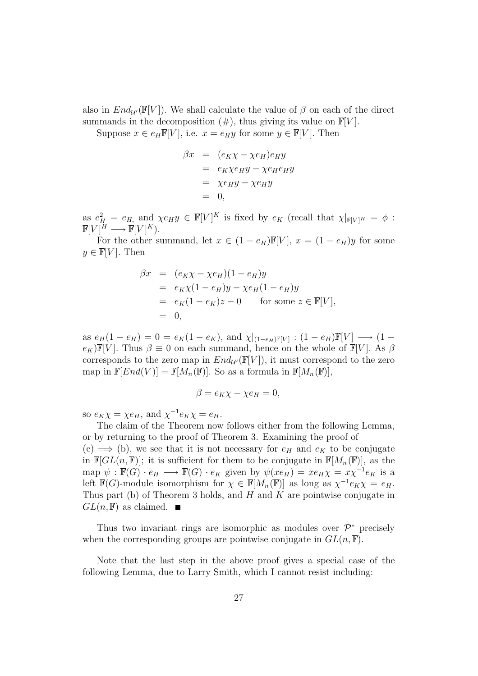also in  $End_{\mathcal{U}}(\mathbb{F}[V])$ . We shall calculate the value of  $\beta$  on each of the direct summands in the decomposition  $(\#)$ , thus giving its value on  $\mathbb{F}[V]$ .

Suppose  $x \in e_H \mathbb{F}[V]$ , i.e.  $x = e_H y$  for some  $y \in \mathbb{F}[V]$ . Then

$$
\beta x = (e_K \chi - \chi e_H) e_H y
$$
  
=  $e_K \chi e_H y - \chi e_H e_H y$   
=  $\chi e_H y - \chi e_H y$   
= 0,

as  $e_H^2 = e_H$ , and  $\chi e_H y \in \mathbb{F}[V]^K$  is fixed by  $e_K$  (recall that  $\chi|_{\mathbb{F}[V]^H} = \phi$ :  $\mathbb{F}[V]^H \longrightarrow \mathbb{F}[V]^K$ ).

For the other summand, let  $x \in (1 - e_H)\mathbb{F}[V]$ ,  $x = (1 - e_H)y$  for some  $y \in \mathbb{F}[V]$ . Then

$$
\beta x = (e_K \chi - \chi e_H)(1 - e_H)y
$$
  
=  $e_K \chi (1 - e_H) y - \chi e_H (1 - e_H) y$   
=  $e_K (1 - e_K) z - 0$  for some  $z \in \mathbb{F}[V],$   
= 0,

as  $e_H(1 - e_H) = 0 = e_K(1 - e_K)$ , and  $\chi|_{(1-e_H)\mathbb{F}[V]} : (1 - e_H)\mathbb{F}[V] \longrightarrow (1 - e_H)$  $e_K$ )F[V]. Thus  $\beta \equiv 0$  on each summand, hence on the whole of F[V]. As  $\beta$ corresponds to the zero map in  $End_{\mathcal{U}}(\mathbb{F}[V])$ , it must correspond to the zero map in  $\mathbb{F}[End(V)] = \mathbb{F}[M_n(\mathbb{F})]$ . So as a formula in  $\mathbb{F}[M_n(\mathbb{F})]$ ,

$$
\beta = e_K \chi - \chi e_H = 0,
$$

so  $e_K \chi = \chi e_H$ , and  $\chi^{-1} e_K \chi = e_H$ .

The claim of the Theorem now follows either from the following Lemma, or by returning to the proof of Theorem 3. Examining the proof of  $(c) \implies$  (b), we see that it is not necessary for  $e_H$  and  $e_K$  to be conjugate in  $\mathbb{F}[GL(n,\mathbb{F})]$ ; it is sufficient for them to be conjugate in  $\mathbb{F}[M_n(\mathbb{F})]$ , as the map  $\psi : \mathbb{F}(G) \cdot e_H \longrightarrow \mathbb{F}(G) \cdot e_K$  given by  $\psi(xe_H) = xe_H \chi = x\chi^{-1}e_K$  is a left  $\mathbb{F}(G)$ -module isomorphism for  $\chi \in \mathbb{F}[M_n(\mathbb{F})]$  as long as  $\chi^{-1}e_K\chi = e_H$ . Thus part (b) of Theorem 3 holds, and  $H$  and  $K$  are pointwise conjugate in  $GL(n, \mathbb{F})$  as claimed.  $\blacksquare$ 

Thus two invariant rings are isomorphic as modules over  $\mathcal{P}^*$  precisely when the corresponding groups are pointwise conjugate in  $GL(n, \mathbb{F})$ .

Note that the last step in the above proof gives a special case of the following Lemma, due to Larry Smith, which I cannot resist including: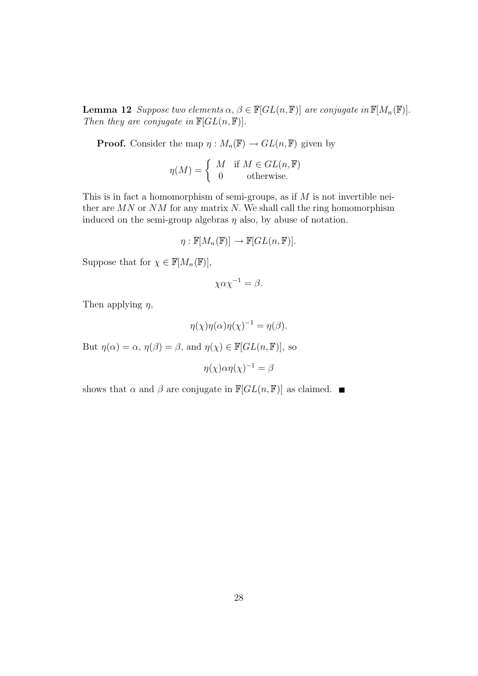**Lemma 12** Suppose two elements  $\alpha, \beta \in \mathbb{F}[GL(n, \mathbb{F})]$  are conjugate in  $\mathbb{F}[M_n(\mathbb{F})]$ . Then they are conjugate in  $\mathbb{F}[GL(n,\mathbb{F})].$ 

**Proof.** Consider the map  $\eta : M_n(\mathbb{F}) \to GL(n, \mathbb{F})$  given by

$$
\eta(M) = \begin{cases} M & \text{if } M \in GL(n, \mathbb{F}) \\ 0 & \text{otherwise.} \end{cases}
$$

This is in fact a homomorphism of semi-groups, as if  $M$  is not invertible neither are  $MN$  or  $NM$  for any matrix N. We shall call the ring homomorphism induced on the semi-group algebras  $\eta$  also, by abuse of notation.

$$
\eta: \mathbb{F}[M_n(\mathbb{F})] \to \mathbb{F}[GL(n, \mathbb{F})].
$$

Suppose that for  $\chi \in \mathbb{F}[M_n(\mathbb{F})],$ 

$$
\chi \alpha \chi^{-1} = \beta.
$$

Then applying  $\eta$ ,

$$
\eta(\chi)\eta(\alpha)\eta(\chi)^{-1} = \eta(\beta).
$$

But  $\eta(\alpha) = \alpha$ ,  $\eta(\beta) = \beta$ , and  $\eta(\chi) \in \mathbb{F}[GL(n,\mathbb{F})]$ , so

$$
\eta(\chi)\alpha\eta(\chi)^{-1} = \beta
$$

shows that  $\alpha$  and  $\beta$  are conjugate in  $\mathbb{F}[GL(n,\mathbb{F})]$  as claimed.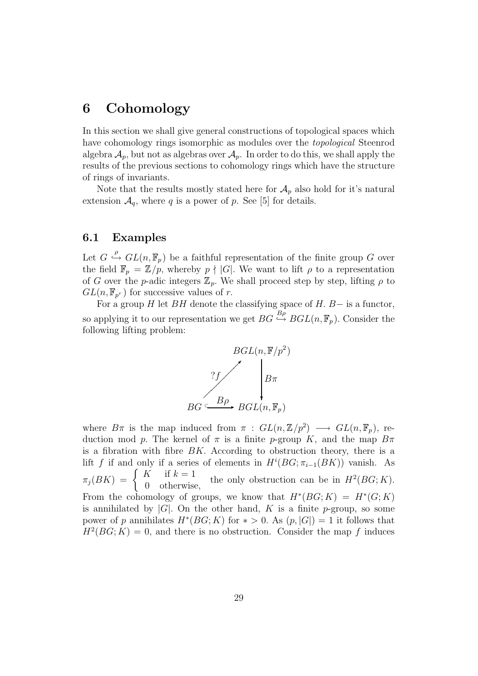## **6 Cohomology**

In this section we shall give general constructions of topological spaces which have cohomology rings isomorphic as modules over the topological Steenrod algebra  $\mathcal{A}_p$ , but not as algebras over  $\mathcal{A}_p$ . In order to do this, we shall apply the results of the previous sections to cohomology rings which have the structure of rings of invariants.

Note that the results mostly stated here for  $\mathcal{A}_p$  also hold for it's natural extension  $\mathcal{A}_q$ , where q is a power of p. See [5] for details.

#### **6.1 Examples**

Let  $G \stackrel{\rho}{\hookrightarrow} GL(n, \mathbb{F}_p)$  be a faithful representation of the finite group G over the field  $\mathbb{F}_p = \mathbb{Z}/p$ , whereby  $p \nmid |G|$ . We want to lift  $\rho$  to a representation of G over the p-adic integers  $\mathbb{Z}_p$ . We shall proceed step by step, lifting  $\rho$  to  $GL(n,\mathbb{F}_{p^r})$  for successive values of r.

For a group H let BH denote the classifying space of H. B– is a functor, so applying it to our representation we get  $BG \overset{B\rho}{\hookrightarrow} BGL(n, \mathbb{F}_p)$ . Consider the following lifting problem:



where  $B\pi$  is the map induced from  $\pi$  :  $GL(n,\mathbb{Z}/p^2) \longrightarrow GL(n,\mathbb{F}_p)$ , reduction mod p. The kernel of  $\pi$  is a finite p-group K, and the map  $B\pi$ is a fibration with fibre  $BK$ . According to obstruction theory, there is a lift f if and only if a series of elements in  $H^{i}(BG; \pi_{i-1}(BK))$  vanish. As  $\pi_j(BK) = \begin{cases} K & \text{if } k = 1 \\ 0 & \text{otherwise,} \end{cases}$ the only obstruction can be in  $H^2(BG; K)$ . From the cohomology of groups, we know that  $H^*(BG; K) = H^*(G; K)$ is annihilated by  $|G|$ . On the other hand, K is a finite p-group, so some power of p annihilates  $H^*(BG; K)$  for  $* > 0$ . As  $(p, |G|) = 1$  it follows that  $H^2(BG; K)=0$ , and there is no obstruction. Consider the map f induces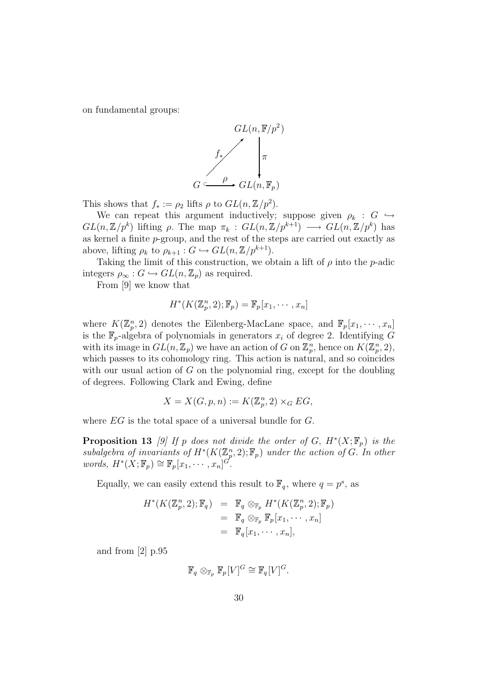on fundamental groups:



This shows that  $f_* := \rho_2$  lifts  $\rho$  to  $GL(n, \mathbb{Z}/p^2)$ .

We can repeat this argument inductively; suppose given  $\rho_k : G \hookrightarrow$  $GL(n,\mathbb{Z}/p^k)$  lifting  $\rho$ . The map  $\pi_k : GL(n,\mathbb{Z}/p^{k+1}) \longrightarrow GL(n,\mathbb{Z}/p^k)$  has as kernel a finite p-group, and the rest of the steps are carried out exactly as above, lifting  $\rho_k$  to  $\rho_{k+1}$  :  $G \hookrightarrow GL(n, \mathbb{Z}/p^{k+1})$ .

Taking the limit of this construction, we obtain a lift of  $\rho$  into the p-adic integers  $\rho_{\infty}: G \hookrightarrow GL(n, \mathbb{Z}_p)$  as required.

From [9] we know that

$$
H^*(K(\mathbb{Z}_p^n,2);\mathbb{F}_p)=\mathbb{F}_p[x_1,\cdots,x_n]
$$

where  $K(\mathbb{Z}_p^n, 2)$  denotes the Eilenberg-MacLane space, and  $\mathbb{F}_p[x_1, \dots, x_n]$ is the  $\mathbb{F}_p$ -algebra of polynomials in generators  $x_i$  of degree 2. Identifying G with its image in  $GL(n, \mathbb{Z}_p)$  we have an action of G on  $\mathbb{Z}_p^n$ , hence on  $K(\mathbb{Z}_p^n, 2)$ , which passes to its cohomology ring. This action is natural, and so coincides with our usual action of  $G$  on the polynomial ring, except for the doubling of degrees. Following Clark and Ewing, define

$$
X = X(G, p, n) := K(\mathbb{Z}_p^n, 2) \times_G EG,
$$

where EG is the total space of a universal bundle for G.

**Proposition 13** [9] If p does not divide the order of G,  $H^*(X; \mathbb{F}_p)$  is the subalgebra of invariants of  $H^*(K(\mathbb{Z}_p^n, 2); \mathbb{F}_p)$  under the action of G. In other words,  $H^*(X; \mathbb{F}_p) \cong \mathbb{F}_p[x_1, \cdots, x_n]^{G^P}.$ 

Equally, we can easily extend this result to  $\mathbb{F}_q$ , where  $q = p^s$ , as

$$
H^*(K(\mathbb{Z}_p^n, 2); \mathbb{F}_q) = \mathbb{F}_q \otimes_{\mathbb{F}_p} H^*(K(\mathbb{Z}_p^n, 2); \mathbb{F}_p)
$$
  
=  $\mathbb{F}_q \otimes_{\mathbb{F}_p} \mathbb{F}_p[x_1, \cdots, x_n]$   
=  $\mathbb{F}_q[x_1, \cdots, x_n],$ 

and from [2] p.95

$$
\mathbb{F}_q\otimes_{\mathbb{F}_p} \mathbb{F}_p[V]^G\cong \mathbb{F}_q[V]^G.
$$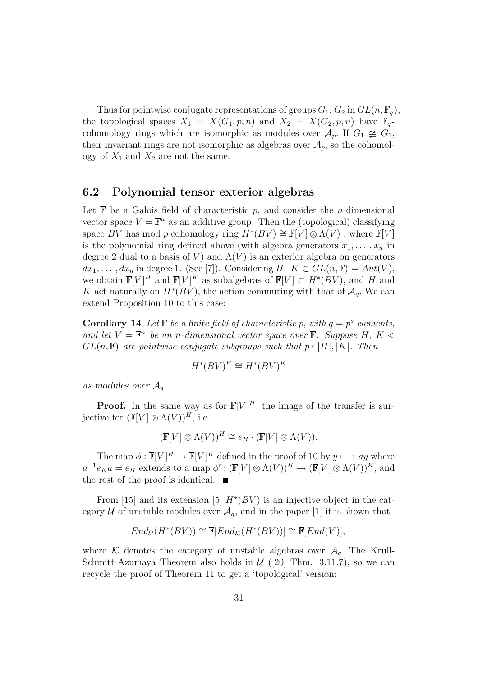Thus for pointwise conjugate representations of groups  $G_1, G_2$  in  $GL(n, \mathbb{F}_q)$ , the topological spaces  $X_1 = X(G_1, p, n)$  and  $X_2 = X(G_2, p, n)$  have  $\mathbb{F}_q$ cohomology rings which are isomorphic as modules over  $\mathcal{A}_p$ . If  $G_1 \not\cong G_2$ , their invariant rings are not isomorphic as algebras over  $\mathcal{A}_p$ , so the cohomology of  $X_1$  and  $X_2$  are not the same.

#### **6.2 Polynomial tensor exterior algebras**

Let  $\mathbb F$  be a Galois field of characteristic p, and consider the *n*-dimensional vector space  $V = \mathbb{F}^n$  as an additive group. Then the (topological) classifying space BV has mod p cohomology ring  $H^*(BV) \cong \mathbb{F}[V] \otimes \Lambda(V)$ , where  $\mathbb{F}[V]$ is the polynomial ring defined above (with algebra generators  $x_1, \ldots, x_n$  in degree 2 dual to a basis of V) and  $\Lambda$ (V) is an exterior algebra on generators  $dx_1, \ldots, dx_n$  in degree 1. (See [7]). Considering H,  $K \subset GL(n, \mathbb{F}) = Aut(V)$ , we obtain  $\mathbb{F}[V]^H$  and  $\mathbb{F}[V]^K$  as subalgebras of  $\mathbb{F}[V] \subset H^*(BV)$ , and H and K act naturally on  $H^*(BV)$ , the action commuting with that of  $\mathcal{A}_q$ . We can extend Proposition 10 to this case:

**Corollary 14** Let  $\mathbb{F}$  be a finite field of characteristic p, with  $q = p^s$  elements, and let  $V = \mathbb{F}^n$  be an n-dimensional vector space over  $\mathbb{F}$ . Suppose H, K <  $GL(n, \mathbb{F})$  are pointwise conjugate subgroups such that  $p \nmid |H|, |K|$ . Then

$$
H^*(BV)^H \cong H^*(BV)^K
$$

as modules over  $\mathcal{A}_q$ .

**Proof.** In the same way as for  $\mathbb{F}[V]^H$ , the image of the transfer is surjective for  $(\mathbb{F}[V] \otimes \Lambda(V))$ <sup>H</sup>, i.e.

$$
(\mathbb{F}[V] \otimes \Lambda(V))^H \cong e_H \cdot (\mathbb{F}[V] \otimes \Lambda(V)).
$$

The map  $\phi: \mathbb{F}[V]^H \to \mathbb{F}[V]^K$  defined in the proof of 10 by  $y \longmapsto ay$  where  $a^{-1}e_K a = e_H$  extends to a map  $\phi' : (\mathbb{F}[V] \otimes \Lambda(V))^H \to (\mathbb{F}[V] \otimes \Lambda(V))^K$ , and the rest of the proof is identical.  $\blacksquare$ 

From [15] and its extension [5]  $H^*(BV)$  is an injective object in the category U of unstable modules over  $\mathcal{A}_q$ , and in the paper [1] it is shown that

$$
End_{\mathcal{U}}(H^*(BV)) \cong \mathbb{F}[End_{\mathcal{K}}(H^*(BV))] \cong \mathbb{F}[End(V)],
$$

where K denotes the category of unstable algebras over  $A_q$ . The Krull-Schmitt-Azumaya Theorem also holds in  $\mathcal{U}$  ([20] Thm. 3.11.7), so we can recycle the proof of Theorem 11 to get a 'topological' version: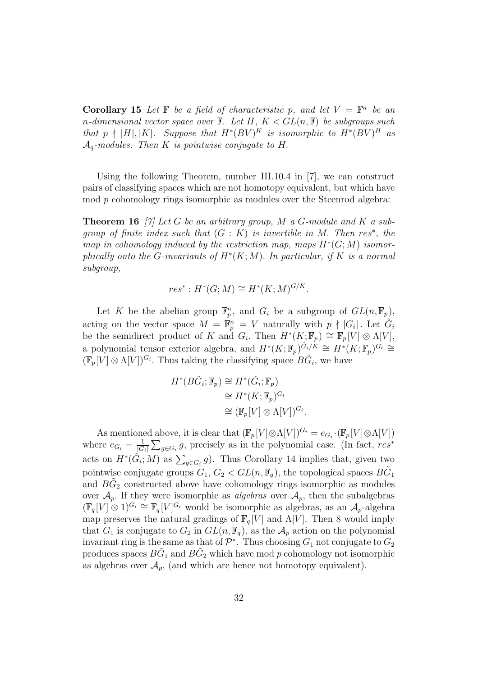**Corollary 15** Let  $\mathbb{F}$  be a field of characteristic p, and let  $V = \mathbb{F}^n$  be an n-dimensional vector space over  $\mathbb F$ . Let H,  $K < GL(n, \mathbb F)$  be subgroups such that p  $\nmid$  |H|,|K|. Suppose that  $H^*(BV)^K$  is isomorphic to  $H^*(BV)^H$  as  $\mathcal{A}_a$ -modules. Then K is pointwise conjugate to H.

Using the following Theorem, number III.10.4 in [7], we can construct pairs of classifying spaces which are not homotopy equivalent, but which have mod p cohomology rings isomorphic as modules over the Steenrod algebra:

**Theorem 16** [7] Let G be an arbitrary group, M a G-module and K a subgroup of finite index such that  $(G: K)$  is invertible in M. Then res<sup>\*</sup>, the map in cohomology induced by the restriction map, maps  $H^*(G;M)$  isomorphically onto the G-invariants of  $H^*(K;M)$ . In particular, if K is a normal subgroup,

$$
res^*: H^*(G;M) \cong H^*(K;M)^{G/K}.
$$

Let K be the abelian group  $\mathbb{F}_p^n$ , and  $G_i$  be a subgroup of  $GL(n, \mathbb{F}_p)$ , acting on the vector space  $M = \mathbb{F}_p^n = V$  naturally with  $p \nmid |G_i|$ . Let  $\tilde{G}_i$ be the semidirect product of K and  $G_i$ . Then  $H^*(K; \mathbb{F}_p) \cong \mathbb{F}_p[V] \otimes \Lambda[V],$ a polynomial tensor exterior algebra, and  $H^*(K; \mathbb{F}_p)^{\tilde{G}_i/K} \cong H^*(K; \mathbb{F}_p)^{G_i} \cong$  $(\mathbb{F}_p[V] \otimes \Lambda[V])^{G_i}$ . Thus taking the classifying space  $B\tilde{G}_i$ , we have

$$
H^*(B\tilde{G}_i; \mathbb{F}_p) \cong H^*(\tilde{G}_i; \mathbb{F}_p)
$$
  
\n
$$
\cong H^*(K; \mathbb{F}_p)^{G_i}
$$
  
\n
$$
\cong (\mathbb{F}_p[V] \otimes \Lambda[V])^{G_i}
$$

.

As mentioned above, it is clear that  $(\mathbb{F}_p[V] \otimes \Lambda[V])^{G_i} = e_{G_i} \cdot (\mathbb{F}_p[V] \otimes \Lambda[V])$ where  $e_{G_i} = \frac{1}{|G_i|} \sum_{g \in G_i} g$ , precisely as in the polynomial case. (In fact, res<sup>\*</sup> acts on  $H^*(\tilde{G}_i; M)$  as  $\sum_{g \in G_i} g$ . Thus Corollary 14 implies that, given two pointwise conjugate groups  $G_1, G_2 < GL(n, \mathbb{F}_q)$ , the topological spaces  $B\tilde{G}_1$ and  $BG_2$  constructed above have cohomology rings isomorphic as modules over  $\mathcal{A}_p$ . If they were isomorphic as *algebras* over  $\mathcal{A}_p$ , then the subalgebras  $(\mathbb{F}_q[V] \otimes 1)^{G_i} \cong \mathbb{F}_q[V]^{G_i}$  would be isomorphic as algebras, as an  $\mathcal{A}_p$ -algebra map preserves the natural gradings of  $\mathbb{F}_q[V]$  and  $\Lambda[V]$ . Then 8 would imply that  $G_1$  is conjugate to  $G_2$  in  $GL(n, \mathbb{F}_q)$ , as the  $\mathcal{A}_p$  action on the polynomial invariant ring is the same as that of  $\mathcal{P}^*$ . Thus choosing  $G_1$  not conjugate to  $G_2$ produces spaces  $B\tilde{G}_1$  and  $B\tilde{G}_2$  which have mod p cohomology not isomorphic as algebras over  $\mathcal{A}_p$ , (and which are hence not homotopy equivalent).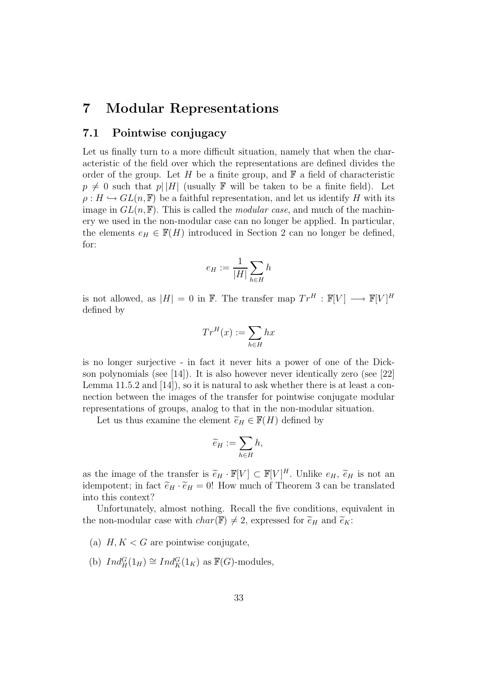## **7 Modular Representations**

#### **7.1 Pointwise conjugacy**

Let us finally turn to a more difficult situation, namely that when the characteristic of the field over which the representations are defined divides the order of the group. Let H be a finite group, and  $\mathbb F$  a field of characteristic  $p \neq 0$  such that  $p||H|$  (usually F will be taken to be a finite field). Let  $\rho: H \hookrightarrow GL(n, \mathbb{F})$  be a faithful representation, and let us identify H with its image in  $GL(n, \mathbb{F})$ . This is called the *modular case*, and much of the machinery we used in the non-modular case can no longer be applied. In particular, the elements  $e_H \in \mathbb{F}(H)$  introduced in Section 2 can no longer be defined, for:

$$
e_H:=\frac{1}{|H|}\sum_{h\in H}h
$$

is not allowed, as  $|H| = 0$  in F. The transfer map  $Tr^H : \mathbb{F}[V] \longrightarrow \mathbb{F}[V]^H$ defined by

$$
Tr^{H}(x) := \sum_{h \in H} hx
$$

is no longer surjective - in fact it never hits a power of one of the Dickson polynomials (see [14]). It is also however never identically zero (see [22] Lemma  $11.5.2$  and  $\left[14\right]$ , so it is natural to ask whether there is at least a connection between the images of the transfer for pointwise conjugate modular representations of groups, analog to that in the non-modular situation.

Let us thus examine the element  $\widetilde{e}_H \in \mathbb{F}(H)$  defined by

$$
\widetilde{e}_H := \sum_{h \in H} h,
$$

as the image of the transfer is  $\widetilde{e}_H \cdot \mathbb{F}[V] \subset \mathbb{F}[V]^H$ . Unlike  $e_H$ ,  $\widetilde{e}_H$  is not an<br>idempotent: in fact  $\widetilde{e}_H \cdot \widetilde{e}_H = 0$ . How much of Theorem 3 can be translated idempotent; in fact  $\tilde{e}_H \cdot \tilde{e}_H = 0!$  How much of Theorem 3 can be translated into this context?

Unfortunately, almost nothing. Recall the five conditions, equivalent in the non-modular case with  $char(\mathbb{F}) \neq 2$ , expressed for  $\widetilde{e}_H$  and  $\widetilde{e}_K$ :

- (a)  $H, K < G$  are pointwise conjugate.
- (b)  $Ind_H^G(1_H) \cong Ind_K^G(1_K)$  as  $\mathbb{F}(G)$ -modules,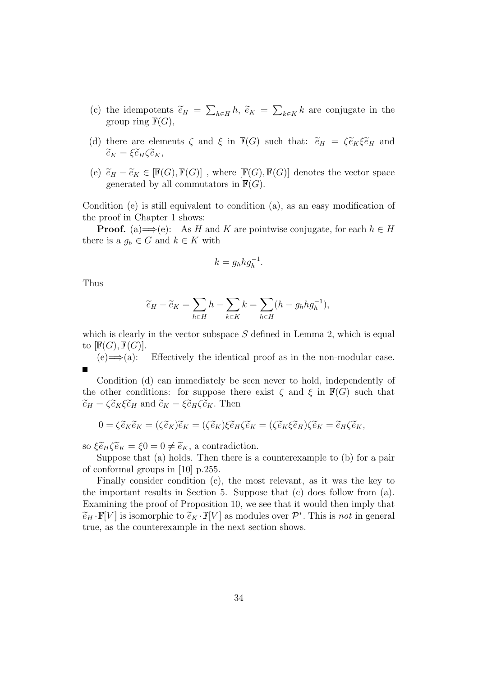- (c) the idempotents  $\tilde{e}_H = \sum_{h \in H} h$ ,  $\tilde{e}_K = \sum_{k \in K} k$  are conjugate in the group ring  $\mathbb{F}(G)$ group ring  $\mathbb{F}(G)$ ,
- (d) there are elements  $\zeta$  and  $\xi$  in  $\mathbb{F}(G)$  such that:  $\tilde{e}_H = \zeta \tilde{e}_K \xi \tilde{e}_H$  and  $\widetilde{e}_K = \xi \widetilde{e}_H \zeta \widetilde{e}_K,$
- (e)  $\widetilde{e}_H \widetilde{e}_K \in [\mathbb{F}(G), \mathbb{F}(G)]$ , where  $[\mathbb{F}(G), \mathbb{F}(G)]$  denotes the vector space generated by all commutators in  $\mathbb{F}(G)$ .

Condition (e) is still equivalent to condition (a), as an easy modification of the proof in Chapter 1 shows:

**Proof.** (a)  $\Longrightarrow$  (e): As H and K are pointwise conjugate, for each  $h \in H$ there is a  $g_h \in G$  and  $k \in K$  with

$$
k = g_h h g_h^{-1}.
$$

Thus

$$
\widetilde{e}_H - \widetilde{e}_K = \sum_{h \in H} h - \sum_{k \in K} k = \sum_{h \in H} (h - g_h h g_h^{-1}),
$$

which is clearly in the vector subspace  $S$  defined in Lemma 2, which is equal to  $[\mathbb{F}(G), \mathbb{F}(G)]$ .

 $(e) \Longrightarrow$  (a): Effectively the identical proof as in the non-modular case. π

Condition (d) can immediately be seen never to hold, independently of the other conditions: for suppose there exist  $\zeta$  and  $\xi$  in  $\mathbb{F}(G)$  such that  $\widetilde{e}_H = \zeta \widetilde{e}_K \xi \widetilde{e}_H$  and  $\widetilde{e}_K = \xi \widetilde{e}_H \zeta \widetilde{e}_K$ . Then

$$
0 = \zeta \widetilde{e}_K \widetilde{e}_K = (\zeta \widetilde{e}_K) \widetilde{e}_K = (\zeta \widetilde{e}_K) \xi \widetilde{e}_H \zeta \widetilde{e}_K = (\zeta \widetilde{e}_K \xi \widetilde{e}_H) \zeta \widetilde{e}_K = \widetilde{e}_H \zeta \widetilde{e}_K,
$$

so  $\xi \widetilde{e}_H \zeta \widetilde{e}_K = \xi 0 = 0 \neq \widetilde{e}_K$ , a contradiction.

Suppose that (a) holds. Then there is a counterexample to (b) for a pair of conformal groups in [10] p.255.

Finally consider condition (c), the most relevant, as it was the key to the important results in Section 5. Suppose that  $(c)$  does follow from  $(a)$ . Examining the proof of Proposition 10, we see that it would then imply that  $\widetilde{e}_H \cdot \mathbb{F}[V]$  is isomorphic to  $\widetilde{e}_K \cdot \mathbb{F}[V]$  as modules over  $\mathcal{P}^*$ . This is not in general true, as the counterexample in the next section shows.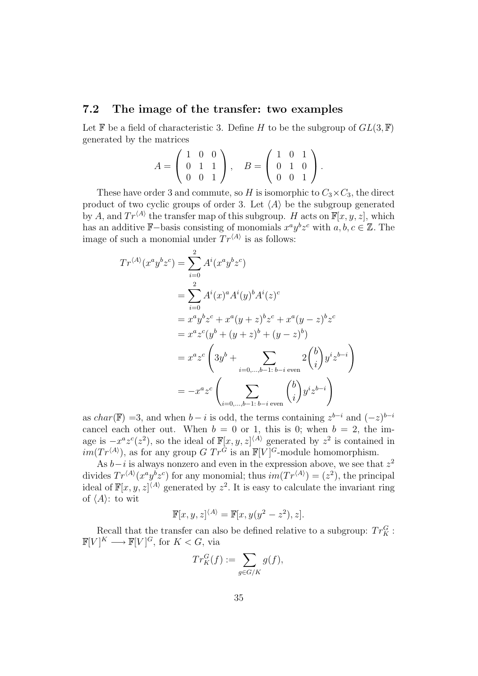#### **7.2 The image of the transfer: two examples**

Let  $\mathbb F$  be a field of characteristic 3. Define H to be the subgroup of  $GL(3,\mathbb F)$ generated by the matrices

$$
A = \begin{pmatrix} 1 & 0 & 0 \\ 0 & 1 & 1 \\ 0 & 0 & 1 \end{pmatrix}, \quad B = \begin{pmatrix} 1 & 0 & 1 \\ 0 & 1 & 0 \\ 0 & 0 & 1 \end{pmatrix}.
$$

These have order 3 and commute, so H is isomorphic to  $C_3 \times C_3$ , the direct product of two cyclic groups of order 3. Let  $\langle A \rangle$  be the subgroup generated by A, and  $Tr^{\langle A \rangle}$  the transfer map of this subgroup. H acts on  $\mathbb{F}[x, y, z]$ , which has an additive F–basis consisting of monomials  $x^a y^b z^c$  with  $a, b, c \in \mathbb{Z}$ . The image of such a monomial under  $Tr^{\langle A \rangle}$  is as follows:

$$
Tr^{\langle A \rangle}(x^a y^b z^c) = \sum_{i=0}^2 A^i (x^a y^b z^c)
$$
  
= 
$$
\sum_{i=0}^2 A^i (x)^a A^i (y)^b A^i (z)^c
$$
  
= 
$$
x^a y^b z^c + x^a (y + z)^b z^c + x^a (y - z)^b z^c
$$
  
= 
$$
x^a z^c (y^b + (y + z)^b + (y - z)^b)
$$
  
= 
$$
x^a z^c \left(3y^b + \sum_{i=0,\dots,b-1:\ b-i \text{ even}} 2\binom{b}{i} y^i z^{b-i}\right)
$$
  
= 
$$
-x^a z^c \left(\sum_{i=0,\dots,b-1:\ b-i \text{ even}} \binom{b}{i} y^i z^{b-i}\right)
$$

as char(F) =3, and when  $b - i$  is odd, the terms containing  $z^{b-i}$  and  $(-z)^{b-i}$ cancel each other out. When  $b = 0$  or 1, this is 0; when  $b = 2$ , the image is  $-x^a z^c(z^2)$ , so the ideal of  $\mathbb{F}[x, y, z]^{(A)}$  generated by  $z^2$  is contained in  $im(Tr^{\langle A \rangle})$ , as for any group  $G$   $Tr^G$  is an  $\mathbb{F}[V]^G$ -module homomorphism.

As  $b-i$  is always nonzero and even in the expression above, we see that  $z^2$ divides  $Tr^{\langle A \rangle}(x^a y^b z^c)$  for any monomial; thus  $im(Tr^{\langle A \rangle}) = (z^2)$ , the principal ideal of  $\mathbb{F}[x, y, z]^{(A)}$  generated by  $z^2$ . It is easy to calculate the invariant ring of  $\langle A \rangle$ : to wit

$$
\mathbb{F}[x, y, z]^{\langle A \rangle} = \mathbb{F}[x, y(y^2 - z^2), z].
$$

Recall that the transfer can also be defined relative to a subgroup:  $Tr_K^G$ :  $\mathbb{F}[V]^K \longrightarrow \mathbb{F}[V]^G$ , for  $K < G$ , via

$$
Tr_K^G(f) := \sum_{g \in G/K} g(f),
$$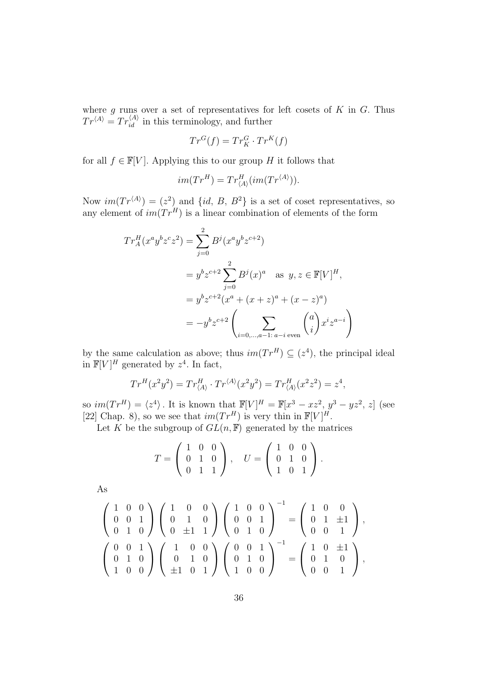where g runs over a set of representatives for left cosets of K in G. Thus  $Tr^{\langle A \rangle} = Tr_{id}^{\langle A \rangle}$  in this terminology, and further

$$
Tr^{G}(f) = Tr_{K}^{G} \cdot Tr^{K}(f)
$$

for all  $f \in \mathbb{F}[V]$ . Applying this to our group H it follows that

$$
im(Tr^{H}) = Tr_{\langle A \rangle}^{H} (im(Tr^{\langle A \rangle})).
$$

Now  $im(Tr^{\langle A \rangle}) = (z^2)$  and  $\{id, B, B^2\}$  is a set of coset representatives, so any element of  $im(Tr^H)$  is a linear combination of elements of the form

$$
Tr_A^H(x^a y^b z^c z^2) = \sum_{j=0}^2 B^j (x^a y^b z^{c+2})
$$
  
=  $y^b z^{c+2} \sum_{j=0}^2 B^j(x)^a$  as  $y, z \in \mathbb{F}[V]^H$ ,  
=  $y^b z^{c+2} (x^a + (x + z)^a + (x - z)^a)$   
=  $-y^b z^{c+2} \left( \sum_{i=0,...,a-1: a-i \text{ even}} {a \choose i} x^i z^{a-i} \right)$ 

by the same calculation as above; thus  $im(Tr^H) \subseteq (z^4)$ , the principal ideal in  $\mathbb{F}[V]^H$  generated by  $z^4$ . In fact,

$$
Tr^{H}(x^{2}y^{2}) = Tr^{H}_{\langle A \rangle} \cdot Tr^{\langle A \rangle}(x^{2}y^{2}) = Tr^{H}_{\langle A \rangle}(x^{2}z^{2}) = z^{4},
$$

so  $im(Tr^H) = \langle z^4 \rangle$ . It is known that  $\mathbb{F}[V]^H = \mathbb{F}[x^3 - xz^2, y^3 - yz^2, z]$  (see [22] Chap. 8), so we see that  $im(Tr^H)$  is very thin in  $\mathbb{F}[V]^H$ .

Let K be the subgroup of  $GL(n, \mathbb{F})$  generated by the matrices

$$
T = \left(\begin{array}{ccc} 1 & 0 & 0 \\ 0 & 1 & 0 \\ 0 & 1 & 1 \end{array}\right), \quad U = \left(\begin{array}{ccc} 1 & 0 & 0 \\ 0 & 1 & 0 \\ 1 & 0 & 1 \end{array}\right).
$$

As

$$
\begin{pmatrix} 1 & 0 & 0 \\ 0 & 0 & 1 \\ 0 & 1 & 0 \end{pmatrix} \begin{pmatrix} 1 & 0 & 0 \\ 0 & 1 & 0 \\ 0 & \pm 1 & 1 \end{pmatrix} \begin{pmatrix} 1 & 0 & 0 \\ 0 & 0 & 1 \\ 0 & 1 & 0 \end{pmatrix}^{-1} = \begin{pmatrix} 1 & 0 & 0 \\ 0 & 1 & \pm 1 \\ 0 & 0 & 1 \end{pmatrix},
$$

$$
\begin{pmatrix} 0 & 0 & 1 \\ 0 & 1 & 0 \\ 1 & 0 & 0 \end{pmatrix} \begin{pmatrix} 1 & 0 & 0 \\ 0 & 1 & 0 \\ \pm 1 & 0 & 1 \end{pmatrix} \begin{pmatrix} 0 & 0 & 1 \\ 0 & 1 & 0 \\ 1 & 0 & 0 \end{pmatrix}^{-1} = \begin{pmatrix} 1 & 0 & \pm 1 \\ 0 & 1 & 0 \\ 0 & 0 & 1 \end{pmatrix},
$$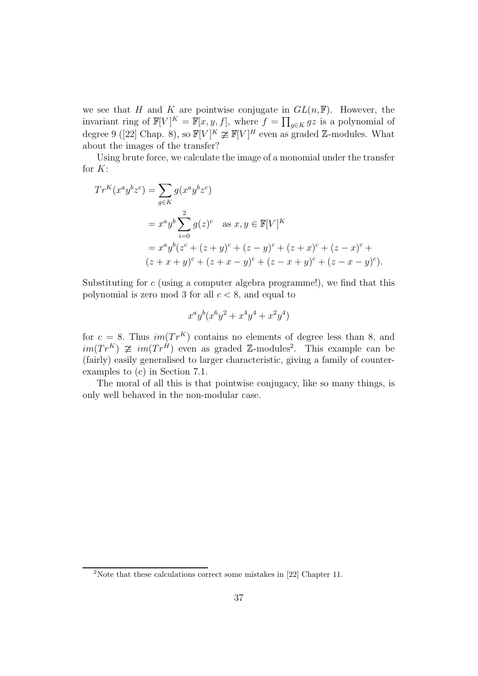we see that H and K are pointwise conjugate in  $GL(n, \mathbb{F})$ . However, the invariant ring of  $\mathbb{F}[V]^K = \mathbb{F}[x, y, f]$ , where  $f = \prod_{g \in K} gz$  is a polynomial of degree 9 ([22] Chap. 8), so  $\mathbb{F}[V]^K \ncong \mathbb{F}[V]^H$  even as graded Z-modules. What about the images of the transfer?

Using brute force, we calculate the image of a monomial under the transfer for  $K$ :

$$
Tr^{K}(x^{a}y^{b}z^{c}) = \sum_{g \in K} g(x^{a}y^{b}z^{c})
$$
  
=  $x^{a}y^{b} \sum_{i=0}^{2} g(z)^{c}$  as  $x, y \in \mathbb{F}[V]^{K}$   
=  $x^{a}y^{b}(z^{c} + (z + y)^{c} + (z - y)^{c} + (z + x)^{c} + (z - x)^{c} + (z + x + y)^{c} + (z + x - y)^{c})$ .

Substituting for c (using a computer algebra programme!), we find that this polynomial is zero mod 3 for all  $c < 8$ , and equal to

$$
x^a y^b (x^6 y^2 + x^4 y^4 + x^2 y^4)
$$

for  $c = 8$ . Thus  $im(Tr^{K})$  contains no elements of degree less than 8, and  $im(Tr^{K}) \ncong im(Tr^{\hat{H}})$  even as graded Z-modules<sup>2</sup>. This example can be (fairly) easily generalised to larger characteristic, giving a family of counterexamples to (c) in Section 7.1.

The moral of all this is that pointwise conjugacy, like so many things, is only well behaved in the non-modular case.

<sup>2</sup>Note that these calculations correct some mistakes in [22] Chapter 11.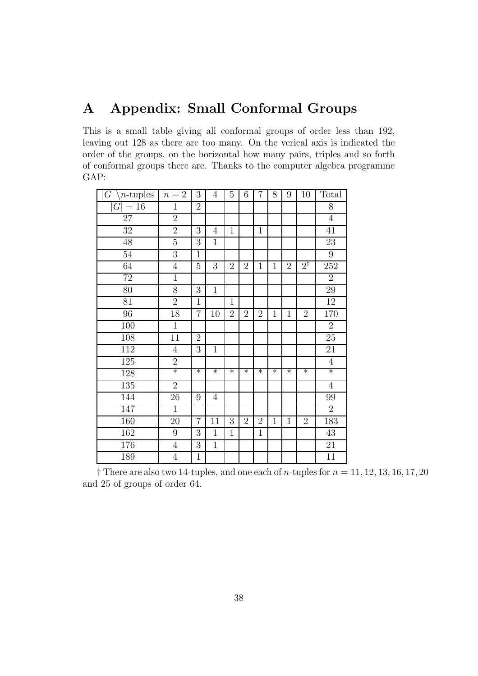## **A Appendix: Small Conformal Groups**

This is a small table giving all conformal groups of order less than 192, leaving out 128 as there are too many. On the verical axis is indicated the order of the groups, on the horizontal how many pairs, triples and so forth of conformal groups there are. Thanks to the computer algebra programme GAP:

| $G\$<br>$n$ -tuples | $n=2$          | 3                | $\overline{4}$ | $\overline{5}$ | 6              | $\overline{7}$ | 8            | 9              | 10             | Total           |
|---------------------|----------------|------------------|----------------|----------------|----------------|----------------|--------------|----------------|----------------|-----------------|
| $=16$<br> G         | $\mathbf{1}$   | $\overline{2}$   |                |                |                |                |              |                |                | 8               |
| 27                  | $\overline{2}$ |                  |                |                |                |                |              |                |                | $\,4\,$         |
| 32                  | $\overline{2}$ | 3                | 4              | $\mathbf{1}$   |                | $\mathbf 1$    |              |                |                | 41              |
| 48                  | $\overline{5}$ | 3                | $\mathbf{1}$   |                |                |                |              |                |                | 23              |
| $\overline{54}$     | $\overline{3}$ | $\mathbf{1}$     |                |                |                |                |              |                |                | $\overline{9}$  |
| 64                  | $\overline{4}$ | $\overline{5}$   | 3              | $\sqrt{2}$     | $\overline{2}$ | $\overline{1}$ | $\mathbf{1}$ | $\overline{2}$ | $2^{\dagger}$  | 252             |
| $\overline{72}$     | $\overline{1}$ |                  |                |                |                |                |              |                |                | $\overline{2}$  |
| 80                  | 8              | 3                | $\mathbf 1$    |                |                |                |              |                |                | 29              |
| 81                  | $\overline{2}$ | $\overline{1}$   |                | $\mathbf{1}$   |                |                |              |                |                | 12              |
| 96                  | 18             | $\overline{7}$   | 10             | $\overline{2}$ | $\overline{2}$ | $\overline{2}$ | $\mathbf{1}$ | $\mathbf{1}$   | $\overline{2}$ | 170             |
| 100                 | $\mathbf{1}$   |                  |                |                |                |                |              |                |                | $\overline{2}$  |
| 108                 | 11             | $\overline{2}$   |                |                |                |                |              |                |                | $\overline{25}$ |
| 112                 | $\overline{4}$ | 3                | $\mathbf{1}$   |                |                |                |              |                |                | 21              |
| 125                 | $\overline{2}$ |                  |                |                |                |                |              |                |                | $\overline{4}$  |
| 128                 | $\ast$         | $\ast$           | $\ast$         | $\ast$         | $\ast$         | $\ast$         | $\ast$       | $\ast$         | $\ast$         | $\ast$          |
| $135\,$             | $\overline{2}$ |                  |                |                |                |                |              |                |                | $\overline{4}$  |
| 144                 | 26             | 9                | $\overline{4}$ |                |                |                |              |                |                | 99              |
| 147                 | $\overline{1}$ |                  |                |                |                |                |              |                |                | $\overline{2}$  |
| 160                 | 20             | $\overline{7}$   | 11             | 3              | $\overline{2}$ | $\overline{2}$ | $\mathbf{1}$ | $\mathbf{1}$   | $\overline{2}$ | 183             |
| 162                 | 9              | $\boldsymbol{3}$ | $\mathbf{1}$   | $\mathbf 1$    |                | $\mathbf{1}$   |              |                |                | 43              |
| 176                 | $\overline{4}$ | 3                | $\mathbf 1$    |                |                |                |              |                |                | 21              |
| 189                 | $\overline{4}$ | $\mathbf{1}$     |                |                |                |                |              |                |                | 11              |

 $\dagger$  There are also two 14-tuples, and one each of *n*-tuples for  $n = 11, 12, 13, 16, 17, 20$ and 25 of groups of order 64.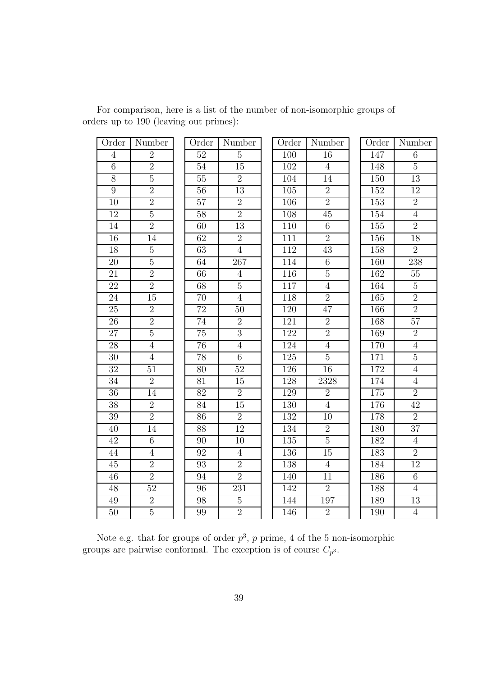| Order           | Number          | Order           | Number          | Order            | Number          | Order | Number          |
|-----------------|-----------------|-----------------|-----------------|------------------|-----------------|-------|-----------------|
| $\overline{4}$  | $\overline{2}$  | 52              | $\overline{5}$  | 100              | 16              | 147   | 6               |
| $6\phantom{.}6$ | $\overline{2}$  | 54              | 15              | 102              | $\overline{4}$  | 148   | $5\,$           |
| $8\,$           | $\overline{5}$  | 55              | $\overline{2}$  | 104              | 14              | 150   | 13              |
| $\overline{9}$  | $\overline{2}$  | 56              | 13              | 105              | $\sqrt{2}$      | 152   | 12              |
| 10              | $\overline{2}$  | 57              | $\overline{2}$  | 106              | $\overline{2}$  | 153   | $\overline{2}$  |
| $\overline{12}$ | $\overline{5}$  | 58              | $\overline{2}$  | 108              | $\overline{45}$ | 154   | $\overline{4}$  |
| 14              | $\overline{2}$  | 60              | 13              | 110              | $\,6$           | 155   | $\overline{2}$  |
| 16              | 14              | $\overline{62}$ | $\overline{2}$  | 111              | $\overline{2}$  | 156   | $\overline{18}$ |
| 18              | $\overline{5}$  | $\overline{63}$ | $\overline{4}$  | 112              | 43              | 158   | $\overline{2}$  |
| 20              | $\overline{5}$  | 64              | 267             | 114              | $\,6$           | 160   | 238             |
| $\overline{21}$ | $\overline{2}$  | $\overline{66}$ | $\overline{4}$  | 116              | $\overline{5}$  | 162   | $\overline{55}$ |
| $\overline{22}$ | $\overline{2}$  | $\overline{68}$ | $\overline{5}$  | 117              | $\overline{4}$  | 164   | $\overline{5}$  |
| 24              | 15              | 70              | $\overline{4}$  | 118              | $\overline{2}$  | 165   | $\overline{2}$  |
| $\overline{25}$ | $\overline{2}$  | 72              | 50              | 120              | 47              | 166   | $\overline{2}$  |
| 26              | $\overline{2}$  | 74              | $\overline{2}$  | 121              | $\overline{2}$  | 168   | 57              |
| $\overline{27}$ | $\overline{5}$  | $\overline{75}$ | $\overline{3}$  | 122              | $\overline{2}$  | 169   | $\overline{2}$  |
| 28              | $\overline{4}$  | 76              | $\overline{4}$  | 124              | $\overline{4}$  | 170   | $\overline{4}$  |
| $\overline{30}$ | $\overline{4}$  | $\overline{78}$ | $6\overline{6}$ | $\overline{125}$ | $\overline{5}$  | 171   | $\overline{5}$  |
| $\overline{32}$ | $\overline{51}$ | $\overline{80}$ | $\overline{52}$ | $\overline{126}$ | 16              | 172   | $\overline{4}$  |
| 34              | $\overline{2}$  | 81              | 15              | 128              | 2328            | 174   | $\overline{4}$  |
| 36              | 14              | $\overline{82}$ | $\overline{2}$  | 129              | $\overline{2}$  | 175   | $\overline{2}$  |
| 38              | $\overline{2}$  | 84              | 15              | 130              | $\overline{4}$  | 176   | 42              |
| $\overline{39}$ | $\overline{2}$  | $\overline{86}$ | $\overline{2}$  | 132              | 10              | 178   | $\overline{2}$  |
| $40\,$          | $\overline{14}$ | $\overline{88}$ | 12              | 134              | $\overline{2}$  | 180   | $\overline{37}$ |
| 42              | $6\,$           | 90              | 10              | 135              | $5\,$           | 182   | $\overline{4}$  |
| 44              | $\overline{4}$  | $\overline{92}$ | $\overline{4}$  | 136              | $\overline{15}$ | 183   | $\overline{2}$  |
| 45              | $\overline{2}$  | 93              | $\overline{2}$  | 138              | $\overline{4}$  | 184   | 12              |
| 46              | $\overline{2}$  | 94              | $\overline{2}$  | 140              | 11              | 186   | $\overline{6}$  |
| 48              | 52              | 96              | 231             | 142              | $\overline{2}$  | 188   | $\overline{4}$  |
| 49              | $\sqrt{2}$      | 98              | $\overline{5}$  | 144              | 197             | 189   | 13              |
| $\overline{50}$ | $\overline{5}$  | 99              | $\overline{2}$  | 146              | $\overline{2}$  | 190   | $\overline{4}$  |

For comparison, here is a list of the number of non-isomorphic groups of orders up to 190 (leaving out primes):

Note e.g. that for groups of order  $p^3$ ,  $p$  prime, 4 of the 5 non-isomorphic groups are pairwise conformal. The exception is of course  $C_{p^3}$ .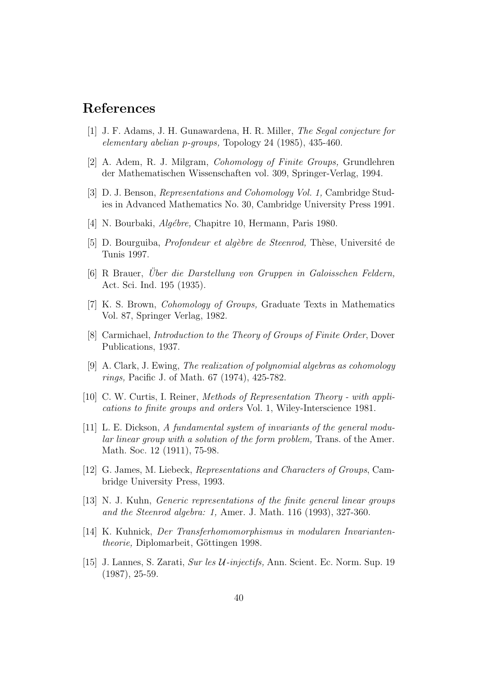## **References**

- [1] J. F. Adams, J. H. Gunawardena, H. R. Miller, The Segal conjecture for elementary abelian p-groups, Topology 24 (1985), 435-460.
- [2] A. Adem, R. J. Milgram, Cohomology of Finite Groups, Grundlehren der Mathematischen Wissenschaften vol. 309, Springer-Verlag, 1994.
- [3] D. J. Benson, Representations and Cohomology Vol. 1, Cambridge Studies in Advanced Mathematics No. 30, Cambridge University Press 1991.
- [4] N. Bourbaki, *Algébre*, Chapitre 10, Hermann, Paris 1980.
- [5] D. Bourguiba, *Profondeur et algèbre de Steenrod*, Thèse, Université de Tunis 1997.
- $[6]$  R Brauer, Über die Darstellung von Gruppen in Galoisschen Feldern, Act. Sci. Ind. 195 (1935).
- [7] K. S. Brown, Cohomology of Groups, Graduate Texts in Mathematics Vol. 87, Springer Verlag, 1982.
- [8] Carmichael, Introduction to the Theory of Groups of Finite Order, Dover Publications, 1937.
- [9] A. Clark, J. Ewing, The realization of polynomial algebras as cohomology rings, Pacific J. of Math. 67 (1974), 425-782.
- [10] C. W. Curtis, I. Reiner, Methods of Representation Theory with applications to finite groups and orders Vol. 1, Wiley-Interscience 1981.
- [11] L. E. Dickson, A fundamental system of invariants of the general modular linear group with a solution of the form problem, Trans. of the Amer. Math. Soc. 12 (1911), 75-98.
- [12] G. James, M. Liebeck, Representations and Characters of Groups, Cambridge University Press, 1993.
- [13] N. J. Kuhn, Generic representations of the finite general linear groups and the Steenrod algebra: 1, Amer. J. Math. 116(1993), 327-360.
- [14] K. Kuhnick, Der Transferhomomorphismus in modularen Invariantentheorie, Diplomarbeit, Göttingen 1998.
- [15] J. Lannes, S. Zarati, Sur les U-injectifs, Ann. Scient. Ec. Norm. Sup. 19 (1987), 25-59.